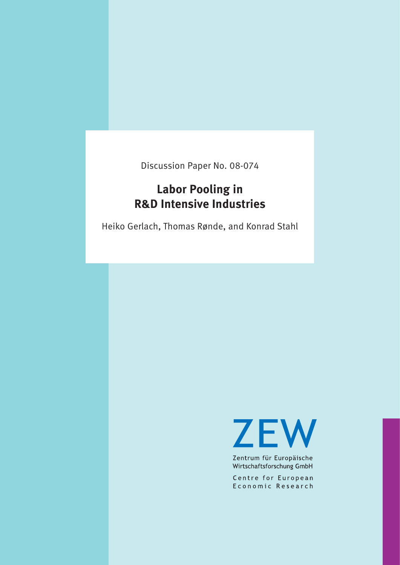Discussion Paper No. 08-074

# **Labor Pooling in R&D Intensive Industries**

Heiko Gerlach, Thomas Rønde, and Konrad Stahl

**ZEW** 

Zentrum für Europäische Wirtschaftsforschung GmbH

Centre for European Economic Research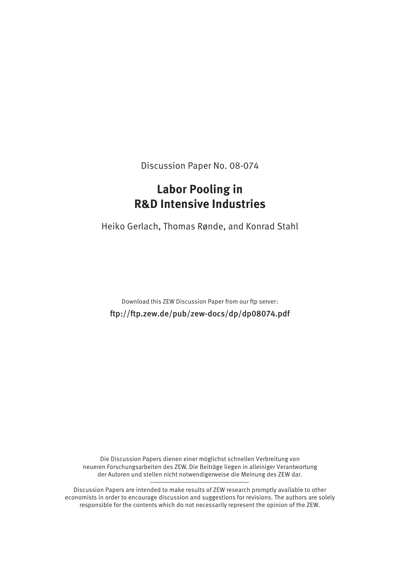Discussion Paper No. 08-074

# **Labor Pooling in R&D Intensive Industries**

Heiko Gerlach, Thomas Rønde, and Konrad Stahl

Download this ZEW Discussion Paper from our ftp server: ftp://ftp.zew.de/pub/zew-docs/dp/dp08074.pdf

Die Discussion Papers dienen einer möglichst schnellen Verbreitung von neueren Forschungsarbeiten des ZEW. Die Beiträge liegen in alleiniger Verantwortung der Autoren und stellen nicht notwendigerweise die Meinung des ZEW dar.

Discussion Papers are intended to make results of ZEW research promptly available to other economists in order to encourage discussion and suggestions for revisions. The authors are solely responsible for the contents which do not necessarily represent the opinion of the ZEW.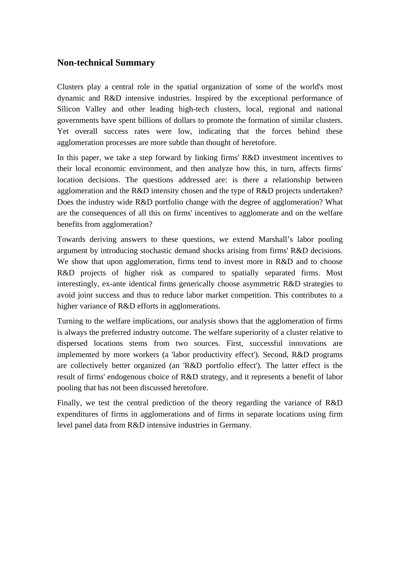# **Non-technical Summary**

Clusters play a central role in the spatial organization of some of the world's most dynamic and R&D intensive industries. Inspired by the exceptional performance of Silicon Valley and other leading high-tech clusters, local, regional and national governments have spent billions of dollars to promote the formation of similar clusters. Yet overall success rates were low, indicating that the forces behind these agglomeration processes are more subtle than thought of heretofore.

In this paper, we take a step forward by linking firms' R&D investment incentives to their local economic environment, and then analyze how this, in turn, affects firms' location decisions. The questions addressed are: is there a relationship between agglomeration and the R&D intensity chosen and the type of R&D projects undertaken? Does the industry wide R&D portfolio change with the degree of agglomeration? What are the consequences of all this on firms' incentives to agglomerate and on the welfare benefits from agglomeration?

Towards deriving answers to these questions, we extend Marshall's labor pooling argument by introducing stochastic demand shocks arising from firms' R&D decisions. We show that upon agglomeration, firms tend to invest more in R&D and to choose R&D projects of higher risk as compared to spatially separated firms. Most interestingly, ex-ante identical firms generically choose asymmetric R&D strategies to avoid joint success and thus to reduce labor market competition. This contributes to a higher variance of R&D efforts in agglomerations.

Turning to the welfare implications, our analysis shows that the agglomeration of firms is always the preferred industry outcome. The welfare superiority of a cluster relative to dispersed locations stems from two sources. First, successful innovations are implemented by more workers (a 'labor productivity effect'). Second, R&D programs are collectively better organized (an 'R&D portfolio effect'). The latter effect is the result of firms' endogenous choice of R&D strategy, and it represents a benefit of labor pooling that has not been discussed heretofore.

Finally, we test the central prediction of the theory regarding the variance of R&D expenditures of firms in agglomerations and of firms in separate locations using firm level panel data from R&D intensive industries in Germany.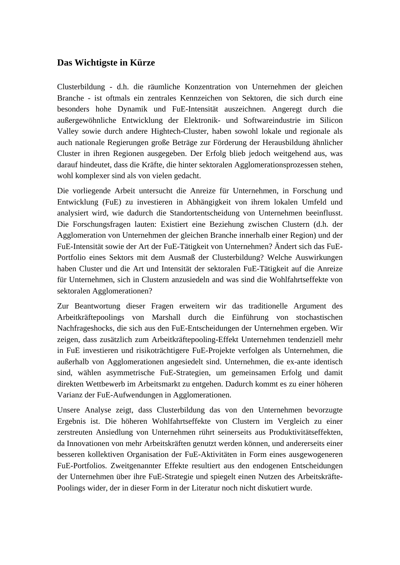# **Das Wichtigste in Kürze**

Clusterbildung - d.h. die räumliche Konzentration von Unternehmen der gleichen Branche - ist oftmals ein zentrales Kennzeichen von Sektoren, die sich durch eine besonders hohe Dynamik und FuE-Intensität auszeichnen. Angeregt durch die außergewöhnliche Entwicklung der Elektronik- und Softwareindustrie im Silicon Valley sowie durch andere Hightech-Cluster, haben sowohl lokale und regionale als auch nationale Regierungen große Beträge zur Förderung der Herausbildung ähnlicher Cluster in ihren Regionen ausgegeben. Der Erfolg blieb jedoch weitgehend aus, was darauf hindeutet, dass die Kräfte, die hinter sektoralen Agglomerationsprozessen stehen, wohl komplexer sind als von vielen gedacht.

Die vorliegende Arbeit untersucht die Anreize für Unternehmen, in Forschung und Entwicklung (FuE) zu investieren in Abhängigkeit von ihrem lokalen Umfeld und analysiert wird, wie dadurch die Standortentscheidung von Unternehmen beeinflusst. Die Forschungsfragen lauten: Existiert eine Beziehung zwischen Clustern (d.h. der Agglomeration von Unternehmen der gleichen Branche innerhalb einer Region) und der FuE-Intensität sowie der Art der FuE-Tätigkeit von Unternehmen? Ändert sich das FuE-Portfolio eines Sektors mit dem Ausmaß der Clusterbildung? Welche Auswirkungen haben Cluster und die Art und Intensität der sektoralen FuE-Tätigkeit auf die Anreize für Unternehmen, sich in Clustern anzusiedeln and was sind die Wohlfahrtseffekte von sektoralen Agglomerationen?

Zur Beantwortung dieser Fragen erweitern wir das traditionelle Argument des Arbeitkräftepoolings von Marshall durch die Einführung von stochastischen Nachfrageshocks, die sich aus den FuE-Entscheidungen der Unternehmen ergeben. Wir zeigen, dass zusätzlich zum Arbeitkräftepooling-Effekt Unternehmen tendenziell mehr in FuE investieren und risikoträchtigere FuE-Projekte verfolgen als Unternehmen, die außerhalb von Agglomerationen angesiedelt sind. Unternehmen, die ex-ante identisch sind, wählen asymmetrische FuE-Strategien, um gemeinsamen Erfolg und damit direkten Wettbewerb im Arbeitsmarkt zu entgehen. Dadurch kommt es zu einer höheren Varianz der FuE-Aufwendungen in Agglomerationen.

Unsere Analyse zeigt, dass Clusterbildung das von den Unternehmen bevorzugte Ergebnis ist. Die höheren Wohlfahrtseffekte von Clustern im Vergleich zu einer zerstreuten Ansiedlung von Unternehmen rührt seinerseits aus Produktivitätseffekten, da Innovationen von mehr Arbeitskräften genutzt werden können, und andererseits einer besseren kollektiven Organisation der FuE-Aktivitäten in Form eines ausgewogeneren FuE-Portfolios. Zweitgenannter Effekte resultiert aus den endogenen Entscheidungen der Unternehmen über ihre FuE-Strategie und spiegelt einen Nutzen des Arbeitskräfte-Poolings wider, der in dieser Form in der Literatur noch nicht diskutiert wurde.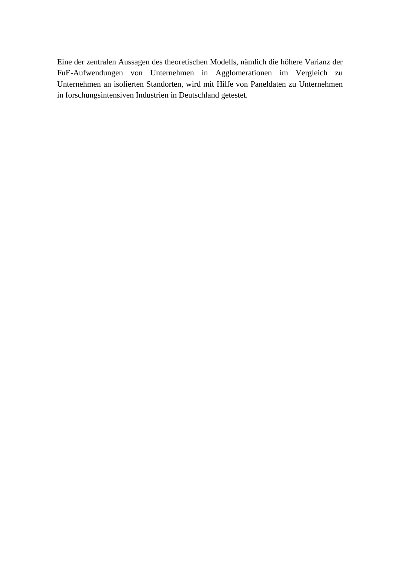Eine der zentralen Aussagen des theoretischen Modells, nämlich die höhere Varianz der FuE-Aufwendungen von Unternehmen in Agglomerationen im Vergleich zu Unternehmen an isolierten Standorten, wird mit Hilfe von Paneldaten zu Unternehmen in forschungsintensiven Industrien in Deutschland getestet.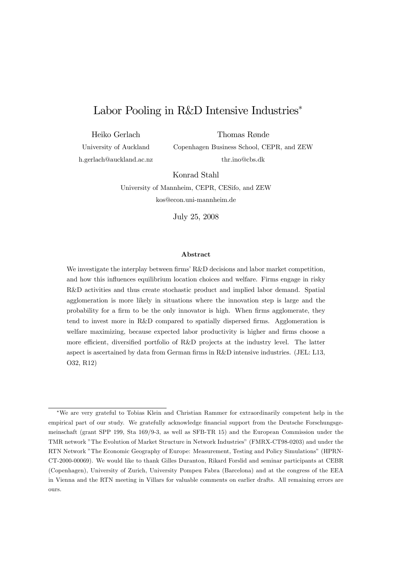# Labor Pooling in R&D Intensive Industries<sup>∗</sup>

Heiko Gerlach

Thomas Rønde

University of Auckland h.gerlach@auckland.ac.nz Copenhagen Business School, CEPR, and ZEW thr.ino@cbs.dk

Konrad Stahl

University of Mannheim, CEPR, CESifo, and ZEW kos@econ.uni-mannheim.de

July 25, 2008

#### Abstract

We investigate the interplay between firms' R&D decisions and labor market competition, and how this influences equilibrium location choices and welfare. Firms engage in risky R&D activities and thus create stochastic product and implied labor demand. Spatial agglomeration is more likely in situations where the innovation step is large and the probability for a firm to be the only innovator is high. When firms agglomerate, they tend to invest more in R&D compared to spatially dispersed firms. Agglomeration is welfare maximizing, because expected labor productivity is higher and firms choose a more efficient, diversified portfolio of R&D projects at the industry level. The latter aspect is ascertained by data from German firms in R&D intensive industries. (JEL: L13, O32, R12)

<sup>∗</sup>We are very grateful to Tobias Klein and Christian Rammer for extraordinarily competent help in the empirical part of our study. We gratefully acknowledge financial support from the Deutsche Forschungsgemeinschaft (grant SPP 199, Sta 169/9-3, as well as SFB-TR 15) and the European Commission under the TMR network "The Evolution of Market Structure in Network Industries" (FMRX-CT98-0203) and under the RTN Network "The Economic Geography of Europe: Measurement, Testing and Policy Simulations" (HPRN-CT-2000-00069). We would like to thank Gilles Duranton, Rikard Forslid and seminar participants at CEBR (Copenhagen), University of Zurich, University Pompeu Fabra (Barcelona) and at the congress of the EEA in Vienna and the RTN meeting in Villars for valuable comments on earlier drafts. All remaining errors are ours.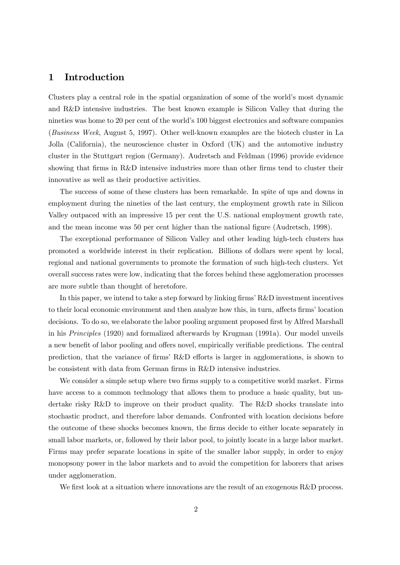### 1 Introduction

Clusters play a central role in the spatial organization of some of the world's most dynamic and R&D intensive industries. The best known example is Silicon Valley that during the nineties was home to 20 per cent of the world's 100 biggest electronics and software companies (Business Week, August 5, 1997). Other well-known examples are the biotech cluster in La Jolla (California), the neuroscience cluster in Oxford (UK) and the automotive industry cluster in the Stuttgart region (Germany). Audretsch and Feldman (1996) provide evidence showing that firms in R&D intensive industries more than other firms tend to cluster their innovative as well as their productive activities.

The success of some of these clusters has been remarkable. In spite of ups and downs in employment during the nineties of the last century, the employment growth rate in Silicon Valley outpaced with an impressive 15 per cent the U.S. national employment growth rate, and the mean income was 50 per cent higher than the national figure (Audretsch, 1998).

The exceptional performance of Silicon Valley and other leading high-tech clusters has promoted a worldwide interest in their replication. Billions of dollars were spent by local, regional and national governments to promote the formation of such high-tech clusters. Yet overall success rates were low, indicating that the forces behind these agglomeration processes are more subtle than thought of heretofore.

In this paper, we intend to take a step forward by linking firms' R&D investment incentives to their local economic environment and then analyze how this, in turn, affects firms' location decisions. To do so, we elaborate the labor pooling argument proposed first by Alfred Marshall in his Principles (1920) and formalized afterwards by Krugman (1991a). Our model unveils a new benefit of labor pooling and offers novel, empirically verifiable predictions. The central prediction, that the variance of firms' R&D efforts is larger in agglomerations, is shown to be consistent with data from German firms in R&D intensive industries.

We consider a simple setup where two firms supply to a competitive world market. Firms have access to a common technology that allows them to produce a basic quality, but undertake risky R&D to improve on their product quality. The R&D shocks translate into stochastic product, and therefore labor demands. Confronted with location decisions before the outcome of these shocks becomes known, the firms decide to either locate separately in small labor markets, or, followed by their labor pool, to jointly locate in a large labor market. Firms may prefer separate locations in spite of the smaller labor supply, in order to enjoy monopsony power in the labor markets and to avoid the competition for laborers that arises under agglomeration.

We first look at a situation where innovations are the result of an exogenous R&D process.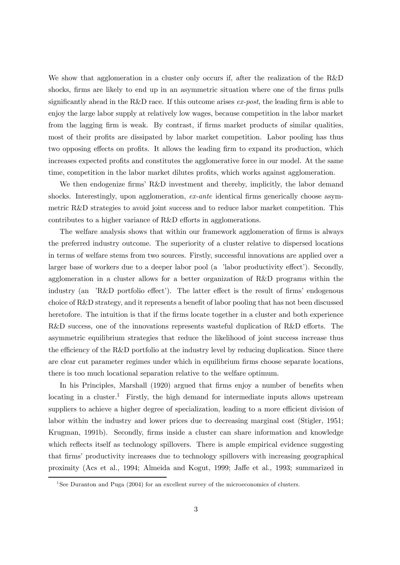We show that agglomeration in a cluster only occurs if, after the realization of the R&D shocks, firms are likely to end up in an asymmetric situation where one of the firms pulls significantly ahead in the R&D race. If this outcome arises  $ex\text{-}post$ , the leading firm is able to enjoy the large labor supply at relatively low wages, because competition in the labor market from the lagging firm is weak. By contrast, if firms market products of similar qualities, most of their profits are dissipated by labor market competition. Labor pooling has thus two opposing effects on profits. It allows the leading firm to expand its production, which increases expected profits and constitutes the agglomerative force in our model. At the same time, competition in the labor market dilutes profits, which works against agglomeration.

We then endogenize firms' R&D investment and thereby, implicitly, the labor demand shocks. Interestingly, upon agglomeration, ex-ante identical firms generically choose asymmetric R&D strategies to avoid joint success and to reduce labor market competition. This contributes to a higher variance of R&D efforts in agglomerations.

The welfare analysis shows that within our framework agglomeration of firms is always the preferred industry outcome. The superiority of a cluster relative to dispersed locations in terms of welfare stems from two sources. Firstly, successful innovations are applied over a larger base of workers due to a deeper labor pool (a 'labor productivity effect'). Secondly, agglomeration in a cluster allows for a better organization of R&D programs within the industry (an 'R&D portfolio effect'). The latter effect is the result of firms' endogenous choice of R&D strategy, and it represents a benefit of labor pooling that has not been discussed heretofore. The intuition is that if the firms locate together in a cluster and both experience R&D success, one of the innovations represents wasteful duplication of R&D efforts. The asymmetric equilibrium strategies that reduce the likelihood of joint success increase thus the efficiency of the R&D portfolio at the industry level by reducing duplication. Since there are clear cut parameter regimes under which in equilibrium firms choose separate locations, there is too much locational separation relative to the welfare optimum.

In his Principles, Marshall (1920) argued that firms enjoy a number of benefits when locating in a cluster.<sup>1</sup> Firstly, the high demand for intermediate inputs allows upstream suppliers to achieve a higher degree of specialization, leading to a more efficient division of labor within the industry and lower prices due to decreasing marginal cost (Stigler, 1951; Krugman, 1991b). Secondly, firms inside a cluster can share information and knowledge which reflects itself as technology spillovers. There is ample empirical evidence suggesting that firms' productivity increases due to technology spillovers with increasing geographical proximity (Acs et al., 1994; Almeida and Kogut, 1999; Jaffe et al., 1993; summarized in

<sup>&</sup>lt;sup>1</sup>See Duranton and Puga (2004) for an excellent survey of the microeconomics of clusters.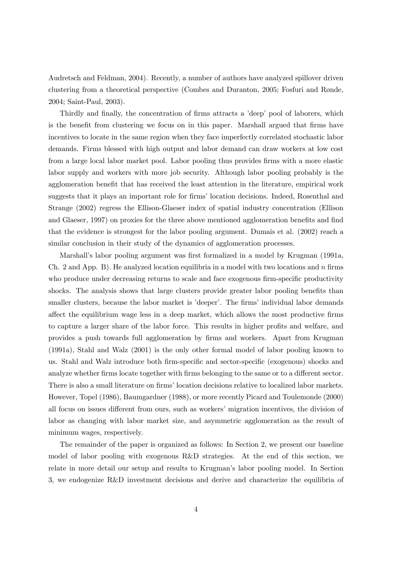Audretsch and Feldman, 2004). Recently, a number of authors have analyzed spillover driven clustering from a theoretical perspective (Combes and Duranton, 2005; Fosfuri and Rønde, 2004; Saint-Paul, 2003).

Thirdly and finally, the concentration of firms attracts a 'deep' pool of laborers, which is the benefit from clustering we focus on in this paper. Marshall argued that firms have incentives to locate in the same region when they face imperfectly correlated stochastic labor demands. Firms blessed with high output and labor demand can draw workers at low cost from a large local labor market pool. Labor pooling thus provides firms with a more elastic labor supply and workers with more job security. Although labor pooling probably is the agglomeration benefit that has received the least attention in the literature, empirical work suggests that it plays an important role for firms' location decisions. Indeed, Rosenthal and Strange (2002) regress the Ellison-Glaeser index of spatial industry concentration (Ellison and Glaeser, 1997) on proxies for the three above mentioned agglomeration benefits and find that the evidence is strongest for the labor pooling argument. Dumais et al. (2002) reach a similar conclusion in their study of the dynamics of agglomeration processes.

Marshall's labor pooling argument was first formalized in a model by Krugman (1991a, Ch. 2 and App. B). He analyzed location equilibria in a model with two locations and  $n$  firms who produce under decreasing returns to scale and face exogenous firm-specific productivity shocks. The analysis shows that large clusters provide greater labor pooling benefits than smaller clusters, because the labor market is 'deeper'. The firms' individual labor demands affect the equilibrium wage less in a deep market, which allows the most productive firms to capture a larger share of the labor force. This results in higher profits and welfare, and provides a push towards full agglomeration by firms and workers. Apart from Krugman (1991a), Stahl and Walz (2001) is the only other formal model of labor pooling known to us. Stahl and Walz introduce both firm-specific and sector-specific (exogenous) shocks and analyze whether firms locate together with firms belonging to the same or to a different sector. There is also a small literature on firms' location decisions relative to localized labor markets. However, Topel (1986), Baumgardner (1988), or more recently Picard and Toulemonde (2000) all focus on issues different from ours, such as workers' migration incentives, the division of labor as changing with labor market size, and asymmetric agglomeration as the result of minimum wages, respectively.

The remainder of the paper is organized as follows: In Section 2, we present our baseline model of labor pooling with exogenous R&D strategies. At the end of this section, we relate in more detail our setup and results to Krugman's labor pooling model. In Section 3, we endogenize R&D investment decisions and derive and characterize the equilibria of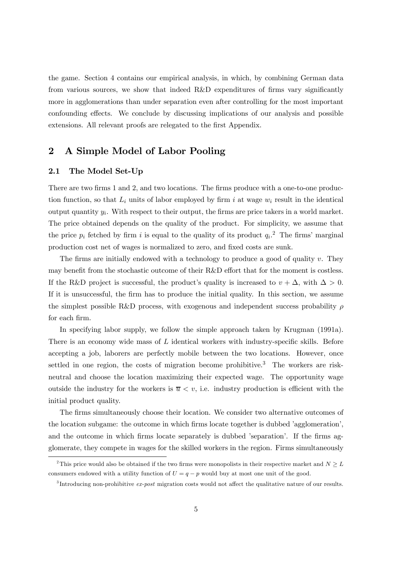the game. Section 4 contains our empirical analysis, in which, by combining German data from various sources, we show that indeed R&D expenditures of firms vary significantly more in agglomerations than under separation even after controlling for the most important confounding effects. We conclude by discussing implications of our analysis and possible extensions. All relevant proofs are relegated to the first Appendix.

## 2 A Simple Model of Labor Pooling

#### 2.1 The Model Set-Up

There are two firms 1 and 2, and two locations. The firms produce with a one-to-one production function, so that  $L_i$  units of labor employed by firm i at wage  $w_i$  result in the identical output quantity  $y_i$ . With respect to their output, the firms are price takers in a world market. The price obtained depends on the quality of the product. For simplicity, we assume that the price  $p_i$  fetched by firm i is equal to the quality of its product  $q_i$ <sup>2</sup>. The firms' marginal production cost net of wages is normalized to zero, and fixed costs are sunk.

The firms are initially endowed with a technology to produce a good of quality  $v$ . They may benefit from the stochastic outcome of their R&D effort that for the moment is costless. If the R&D project is successful, the product's quality is increased to  $v + \Delta$ , with  $\Delta > 0$ . If it is unsuccessful, the firm has to produce the initial quality. In this section, we assume the simplest possible R&D process, with exogenous and independent success probability  $\rho$ for each firm.

In specifying labor supply, we follow the simple approach taken by Krugman (1991a). There is an economy wide mass of L identical workers with industry-specific skills. Before accepting a job, laborers are perfectly mobile between the two locations. However, once settled in one region, the costs of migration become prohibitive.<sup>3</sup> The workers are riskneutral and choose the location maximizing their expected wage. The opportunity wage outside the industry for the workers is  $\overline{u} < v$ , i.e. industry production is efficient with the initial product quality.

The firms simultaneously choose their location. We consider two alternative outcomes of the location subgame: the outcome in which firms locate together is dubbed 'agglomeration', and the outcome in which firms locate separately is dubbed 'separation'. If the firms agglomerate, they compete in wages for the skilled workers in the region. Firms simultaneously

<sup>&</sup>lt;sup>2</sup>This price would also be obtained if the two firms were monopolists in their respective market and  $N \geq L$ consumers endowed with a utility function of  $U = q - p$  would buy at most one unit of the good.

 $3$ Introducing non-prohibitive ex-post migration costs would not affect the qualitative nature of our results.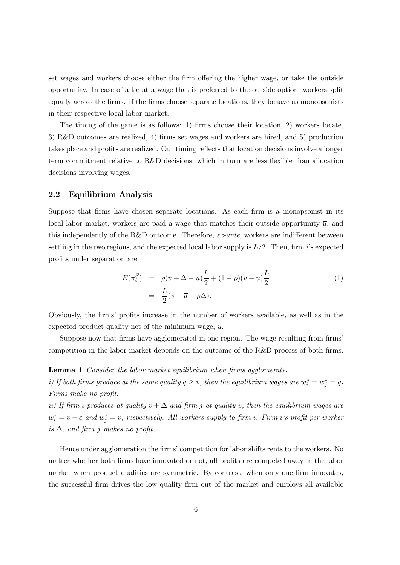set wages and workers choose either the firm offering the higher wage, or take the outside opportunity. In case of a tie at a wage that is preferred to the outside option, workers split equally across the firms. If the firms choose separate locations, they behave as monopsonists in their respective local labor market.

The timing of the game is as follows: 1) firms choose their location, 2) workers locate, 3) R&D outcomes are realized, 4) firms set wages and workers are hired, and 5) production takes place and profits are realized. Our timing reflects that location decisions involve a longer term commitment relative to R&D decisions, which in turn are less flexible than allocation decisions involving wages.

#### 2.2 Equilibrium Analysis

Suppose that firms have chosen separate locations. As each firm is a monopsonist in its local labor market, workers are paid a wage that matches their outside opportunity  $\overline{u}$ , and this independently of the R&D outcome. Therefore, ex-ante, workers are indifferent between settling in the two regions, and the expected local labor supply is  $L/2$ . Then, firm i's expected profits under separation are

$$
E(\pi_i^S) = \rho(v + \Delta - \overline{u})\frac{L}{2} + (1 - \rho)(v - \overline{u})\frac{L}{2}
$$
  
= 
$$
\frac{L}{2}(v - \overline{u} + \rho\Delta).
$$
 (1)

Obviously, the firms' profits increase in the number of workers available, as well as in the expected product quality net of the minimum wage,  $\overline{u}$ .

Suppose now that firms have agglomerated in one region. The wage resulting from firms' competition in the labor market depends on the outcome of the R&D process of both firms.

Lemma 1 Consider the labor market equilibrium when firms agglomerate.

i) If both firms produce at the same quality  $q \ge v$ , then the equilibrium wages are  $w_i^* = w_j^* = q$ . Firms make no profit.

ii) If firm i produces at quality  $v + \Delta$  and firm j at quality v, then the equilibrium wages are  $w_i^* = v + \varepsilon$  and  $w_j^* = v$ , respectively. All workers supply to firm i. Firm i's profit per worker is  $\Delta$ , and firm j makes no profit.

Hence under agglomeration the firms' competition for labor shifts rents to the workers. No matter whether both firms have innovated or not, all profits are competed away in the labor market when product qualities are symmetric. By contrast, when only one firm innovates, the successful firm drives the low quality firm out of the market and employs all available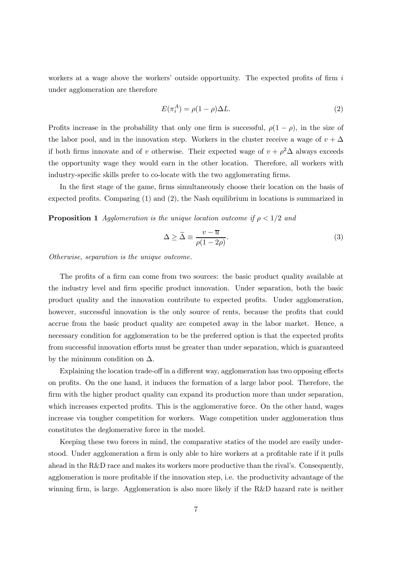workers at a wage above the workers' outside opportunity. The expected profits of firm  $i$ under agglomeration are therefore

$$
E(\pi_i^A) = \rho(1 - \rho)\Delta L. \tag{2}
$$

Profits increase in the probability that only one firm is successful,  $\rho(1-\rho)$ , in the size of the labor pool, and in the innovation step. Workers in the cluster receive a wage of  $v + \Delta$ if both firms innovate and of v otherwise. Their expected wage of  $v + \rho^2 \Delta$  always exceeds the opportunity wage they would earn in the other location. Therefore, all workers with industry-specific skills prefer to co-locate with the two agglomerating firms.

In the first stage of the game, firms simultaneously choose their location on the basis of expected profits. Comparing (1) and (2), the Nash equilibrium in locations is summarized in

**Proposition 1** Agglomeration is the unique location outcome if  $\rho < 1/2$  and

$$
\Delta \ge \tilde{\Delta} \equiv \frac{v - \overline{u}}{\rho(1 - 2\rho)}.
$$
\n(3)

Otherwise, separation is the unique outcome.

The profits of a firm can come from two sources: the basic product quality available at the industry level and firm specific product innovation. Under separation, both the basic product quality and the innovation contribute to expected profits. Under agglomeration, however, successful innovation is the only source of rents, because the profits that could accrue from the basic product quality are competed away in the labor market. Hence, a necessary condition for agglomeration to be the preferred option is that the expected profits from successful innovation efforts must be greater than under separation, which is guaranteed by the minimum condition on  $\Delta$ .

Explaining the location trade-off in a different way, agglomeration has two opposing effects on profits. On the one hand, it induces the formation of a large labor pool. Therefore, the firm with the higher product quality can expand its production more than under separation, which increases expected profits. This is the agglomerative force. On the other hand, wages increase via tougher competition for workers. Wage competition under agglomeration thus constitutes the deglomerative force in the model.

Keeping these two forces in mind, the comparative statics of the model are easily understood. Under agglomeration a firm is only able to hire workers at a profitable rate if it pulls ahead in the R&D race and makes its workers more productive than the rival's. Consequently, agglomeration is more profitable if the innovation step, i.e. the productivity advantage of the winning firm, is large. Agglomeration is also more likely if the R&D hazard rate is neither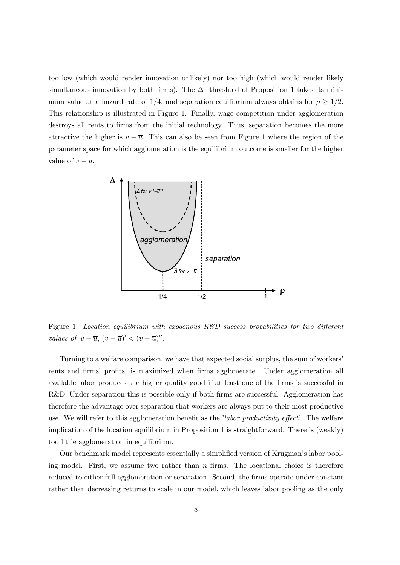too low (which would render innovation unlikely) nor too high (which would render likely simultaneous innovation by both firms). The  $\Delta$ −threshold of Proposition 1 takes its minimum value at a hazard rate of 1/4, and separation equilibrium always obtains for  $\rho \geq 1/2$ . This relationship is illustrated in Figure 1. Finally, wage competition under agglomeration destroys all rents to firms from the initial technology. Thus, separation becomes the more attractive the higher is  $v - \overline{u}$ . This can also be seen from Figure 1 where the region of the parameter space for which agglomeration is the equilibrium outcome is smaller for the higher value of  $v - \overline{u}$ .



Figure 1: Location equilibrium with exogenous  $R\&D$  success probabilities for two different values of  $v - \overline{u}$ ,  $(v - \overline{u})' < (v - \overline{u})''$ .

Turning to a welfare comparison, we have that expected social surplus, the sum of workers' rents and firms' profits, is maximized when firms agglomerate. Under agglomeration all available labor produces the higher quality good if at least one of the firms is successful in R&D. Under separation this is possible only if both firms are successful. Agglomeration has therefore the advantage over separation that workers are always put to their most productive use. We will refer to this agglomeration benefit as the *'labor productivity effect'*. The welfare implication of the location equilibrium in Proposition 1 is straightforward. There is (weakly) too little agglomeration in equilibrium.

Our benchmark model represents essentially a simplified version of Krugman's labor pooling model. First, we assume two rather than  $n$  firms. The locational choice is therefore reduced to either full agglomeration or separation. Second, the firms operate under constant rather than decreasing returns to scale in our model, which leaves labor pooling as the only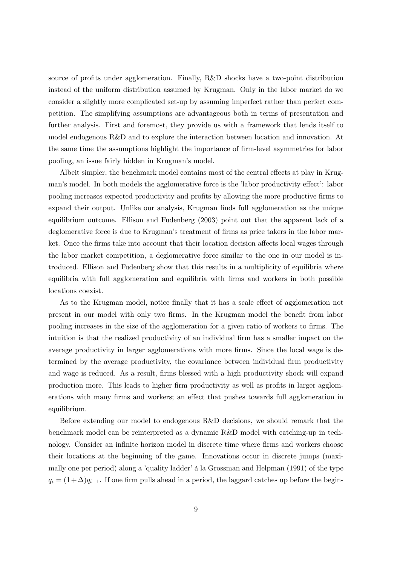source of profits under agglomeration. Finally, R&D shocks have a two-point distribution instead of the uniform distribution assumed by Krugman. Only in the labor market do we consider a slightly more complicated set-up by assuming imperfect rather than perfect competition. The simplifying assumptions are advantageous both in terms of presentation and further analysis. First and foremost, they provide us with a framework that lends itself to model endogenous R&D and to explore the interaction between location and innovation. At the same time the assumptions highlight the importance of firm-level asymmetries for labor pooling, an issue fairly hidden in Krugman's model.

Albeit simpler, the benchmark model contains most of the central effects at play in Krugman's model. In both models the agglomerative force is the 'labor productivity effect': labor pooling increases expected productivity and profits by allowing the more productive firms to expand their output. Unlike our analysis, Krugman finds full agglomeration as the unique equilibrium outcome. Ellison and Fudenberg (2003) point out that the apparent lack of a deglomerative force is due to Krugman's treatment of firms as price takers in the labor market. Once the firms take into account that their location decision affects local wages through the labor market competition, a deglomerative force similar to the one in our model is introduced. Ellison and Fudenberg show that this results in a multiplicity of equilibria where equilibria with full agglomeration and equilibria with firms and workers in both possible locations coexist.

As to the Krugman model, notice finally that it has a scale effect of agglomeration not present in our model with only two firms. In the Krugman model the benefit from labor pooling increases in the size of the agglomeration for a given ratio of workers to firms. The intuition is that the realized productivity of an individual firm has a smaller impact on the average productivity in larger agglomerations with more firms. Since the local wage is determined by the average productivity, the covariance between individual firm productivity and wage is reduced. As a result, firms blessed with a high productivity shock will expand production more. This leads to higher firm productivity as well as profits in larger agglomerations with many firms and workers; an effect that pushes towards full agglomeration in equilibrium.

Before extending our model to endogenous R&D decisions, we should remark that the benchmark model can be reinterpreted as a dynamic R&D model with catching-up in technology. Consider an infinite horizon model in discrete time where firms and workers choose their locations at the beginning of the game. Innovations occur in discrete jumps (maximally one per period) along a 'quality ladder' à la Grossman and Helpman (1991) of the type  $q_i = (1+\Delta)q_{i-1}$ . If one firm pulls ahead in a period, the laggard catches up before the begin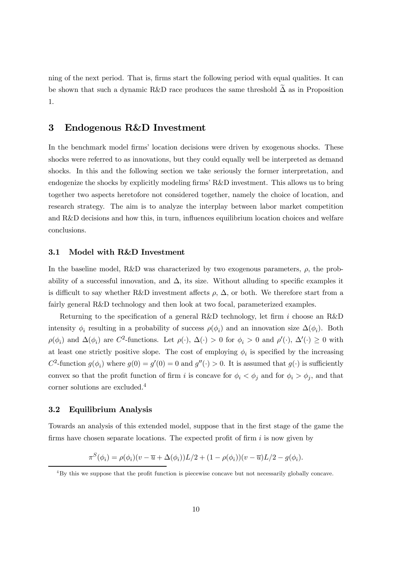ning of the next period. That is, firms start the following period with equal qualities. It can be shown that such a dynamic R&D race produces the same threshold  $\Delta$  as in Proposition 1.

### 3 Endogenous R&D Investment

In the benchmark model firms' location decisions were driven by exogenous shocks. These shocks were referred to as innovations, but they could equally well be interpreted as demand shocks. In this and the following section we take seriously the former interpretation, and endogenize the shocks by explicitly modeling firms' R&D investment. This allows us to bring together two aspects heretofore not considered together, namely the choice of location, and research strategy. The aim is to analyze the interplay between labor market competition and R&D decisions and how this, in turn, influences equilibrium location choices and welfare conclusions.

#### 3.1 Model with R&D Investment

In the baseline model, R&D was characterized by two exogenous parameters,  $\rho$ , the probability of a successful innovation, and  $\Delta$ , its size. Without alluding to specific examples it is difficult to say whether R&D investment affects  $\rho$ ,  $\Delta$ , or both. We therefore start from a fairly general R&D technology and then look at two focal, parameterized examples.

Returning to the specification of a general R&D technology, let firm i choose an R&D intensity  $\phi_i$  resulting in a probability of success  $\rho(\phi_i)$  and an innovation size  $\Delta(\phi_i)$ . Both  $\rho(\phi_i)$  and  $\Delta(\phi_i)$  are C<sup>2</sup>-functions. Let  $\rho(\cdot)$ ,  $\Delta(\cdot) > 0$  for  $\phi_i > 0$  and  $\rho'(\cdot)$ ,  $\Delta'(\cdot) \ge 0$  with at least one strictly positive slope. The cost of employing  $\phi_i$  is specified by the increasing  $C^2$ -function  $g(\phi_i)$  where  $g(0) = g'(0) = 0$  and  $g''(\cdot) > 0$ . It is assumed that  $g(\cdot)$  is sufficiently convex so that the profit function of firm i is concave for  $\phi_i < \phi_j$  and for  $\phi_i > \phi_j$ , and that corner solutions are excluded.<sup>4</sup>

#### 3.2 Equilibrium Analysis

Towards an analysis of this extended model, suppose that in the first stage of the game the firms have chosen separate locations. The expected profit of firm  $i$  is now given by

$$
\pi^{S}(\phi_{i}) = \rho(\phi_{i})(v - \overline{u} + \Delta(\phi_{i}))L/2 + (1 - \rho(\phi_{i}))(v - \overline{u})L/2 - g(\phi_{i}).
$$

<sup>4</sup>By this we suppose that the profit function is piecewise concave but not necessarily globally concave.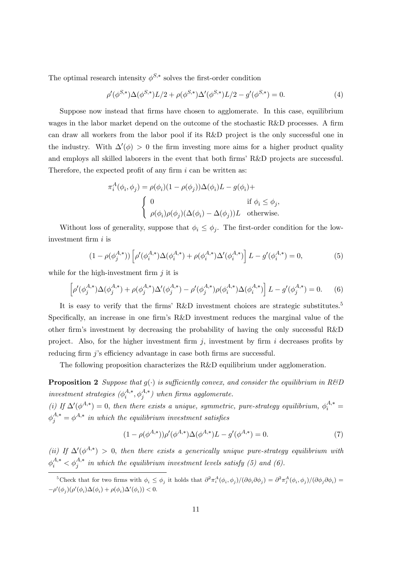The optimal research intensity  $\phi^{S,*}$  solves the first-order condition

$$
\rho'(\phi^{S,*})\Delta(\phi^{S,*})L/2 + \rho(\phi^{S,*})\Delta'(\phi^{S,*})L/2 - g'(\phi^{S,*}) = 0.
$$
\n(4)

Suppose now instead that firms have chosen to agglomerate. In this case, equilibrium wages in the labor market depend on the outcome of the stochastic R&D processes. A firm can draw all workers from the labor pool if its R&D project is the only successful one in the industry. With  $\Delta'(\phi) > 0$  the firm investing more aims for a higher product quality and employs all skilled laborers in the event that both firms' R&D projects are successful. Therefore, the expected profit of any firm  $i$  can be written as:

$$
\pi_i^A(\phi_i, \phi_j) = \rho(\phi_i)(1 - \rho(\phi_j))\Delta(\phi_i)L - g(\phi_i)+
$$
  
\n
$$
\begin{cases}\n0 & \text{if } \phi_i \le \phi_j, \\
\rho(\phi_i)\rho(\phi_j)(\Delta(\phi_i) - \Delta(\phi_j))L & \text{otherwise.} \n\end{cases}
$$

Without loss of generality, suppose that  $\phi_i \leq \phi_j$ . The first-order condition for the lowinvestment firm i is

$$
(1 - \rho(\phi_j^{A,*})) \left[ \rho'(\phi_i^{A,*}) \Delta(\phi_i^{A,*}) + \rho(\phi_i^{A,*}) \Delta'(\phi_i^{A,*}) \right] L - g'(\phi_i^{A,*}) = 0,
$$
\n(5)

while for the high-investment firm  $j$  it is

$$
\left[\rho'(\phi_j^{A,*})\Delta(\phi_j^{A,*}) + \rho(\phi_j^{A,*})\Delta'(\phi_j^{A,*}) - \rho'(\phi_j^{A,*})\rho(\phi_i^{A,*})\Delta(\phi_i^{A,*})\right]L - g'(\phi_j^{A,*}) = 0. \tag{6}
$$

It is easy to verify that the firms' R&D investment choices are strategic substitutes.<sup>5</sup> Specifically, an increase in one firm's R&D investment reduces the marginal value of the other firm's investment by decreasing the probability of having the only successful R&D project. Also, for the higher investment firm  $j$ , investment by firm  $i$  decreases profits by reducing firm j's efficiency advantage in case both firms are successful.

The following proposition characterizes the R&D equilibrium under agglomeration.

**Proposition 2** Suppose that  $g(\cdot)$  is sufficiently convex, and consider the equilibrium in R&D investment strategies  $(\phi_i^{A,*}, \phi_j^{A,*})$  when firms agglomerate.

(i) If  $\Delta'(\phi^{A,*})=0$ , then there exists a unique, symmetric, pure-strategy equilibrium,  $\phi_i^{A,*}=$  $\phi_j^{A,*} = \phi^{A,*}$  in which the equilibrium investment satisfies

$$
(1 - \rho(\phi^{A,*}))\rho'(\phi^{A,*})\Delta(\phi^{A,*})L - g'(\phi^{A,*}) = 0.
$$
 (7)

(ii) If  $\Delta'(\phi^{A,*}) > 0$ , then there exists a generically unique pure-strategy equilibrium with  $\phi_i^{A,*} < \phi_j^{A,*}$  in which the equilibrium investment levels satisfy (5) and (6).

<sup>&</sup>lt;sup>5</sup>Check that for two firms with  $\phi_i \leq \phi_j$  it holds that  $\frac{\partial^2 \pi_i^A(\phi_i, \phi_j)}{\partial \phi_i \partial \phi_j} = \frac{\partial^2 \pi_j^A(\phi_i, \phi_j)}{\partial \phi_i \partial \phi_i} =$  $-\rho'(\phi_j)(\rho'(\phi_i)\Delta(\phi_i)+\rho(\phi_i)\Delta'(\phi_i))<0.$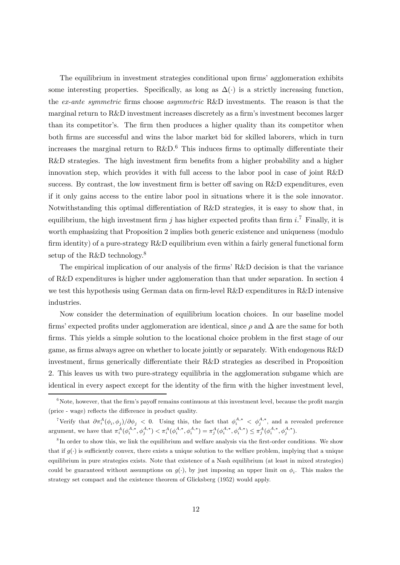The equilibrium in investment strategies conditional upon firms' agglomeration exhibits some interesting properties. Specifically, as long as  $\Delta(\cdot)$  is a strictly increasing function, the ex-ante symmetric firms choose asymmetric R&D investments. The reason is that the marginal return to R&D investment increases discretely as a firm's investment becomes larger than its competitor's. The firm then produces a higher quality than its competitor when both firms are successful and wins the labor market bid for skilled laborers, which in turn increases the marginal return to  $R\&D$ <sup>6</sup>. This induces firms to optimally differentiate their R&D strategies. The high investment firm benefits from a higher probability and a higher innovation step, which provides it with full access to the labor pool in case of joint R&D success. By contrast, the low investment firm is better off saving on R&D expenditures, even if it only gains access to the entire labor pool in situations where it is the sole innovator. Notwithstanding this optimal differentiation of R&D strategies, it is easy to show that, in equilibrium, the high investment firm j has higher expected profits than firm  $i^{\mathcal{T}}$  Finally, it is worth emphasizing that Proposition 2 implies both generic existence and uniqueness (modulo firm identity) of a pure-strategy R&D equilibrium even within a fairly general functional form setup of the R&D technology.8

The empirical implication of our analysis of the firms' R&D decision is that the variance of R&D expenditures is higher under agglomeration than that under separation. In section 4 we test this hypothesis using German data on firm-level R&D expenditures in R&D intensive industries.

Now consider the determination of equilibrium location choices. In our baseline model firms' expected profits under agglomeration are identical, since  $\rho$  and  $\Delta$  are the same for both firms. This yields a simple solution to the locational choice problem in the first stage of our game, as firms always agree on whether to locate jointly or separately. With endogenous R&D investment, firms generically differentiate their R&D strategies as described in Proposition 2. This leaves us with two pure-strategy equilibria in the agglomeration subgame which are identical in every aspect except for the identity of the firm with the higher investment level,

 $6N$ ote, however, that the firm's payoff remains continuous at this investment level, because the profit margin (price - wage) reflects the difference in product quality.

<sup>&</sup>lt;sup>7</sup>Verify that  $\partial \pi_i^A(\phi_i, \phi_j)/\partial \phi_j$  < 0. Using this, the fact that  $\phi_i^{A,*} < \phi_j^{A,*}$ , and a revealed preference argument, we have that  $\pi_i^A(\phi_i^{A,*}, \phi_j^{A,*}) < \pi_i^A(\phi_i^{A,*}, \phi_i^{A,*}) = \pi_j^A(\phi_i^{A,*}, \phi_i^{A,*}) \leq \pi_j^A(\phi_i^{A,*}, \phi_j^{A,*})$ .

<sup>&</sup>lt;sup>8</sup>In order to show this, we link the equilibrium and welfare analysis via the first-order conditions. We show that if  $g(\cdot)$  is sufficiently convex, there exists a unique solution to the welfare problem, implying that a unique equilibrium in pure strategies exists. Note that existence of a Nash equilibrium (at least in mixed strategies) could be guaranteed without assumptions on  $g(\cdot)$ , by just imposing an upper limit on  $\phi_i$ . This makes the strategy set compact and the existence theorem of Glicksberg (1952) would apply.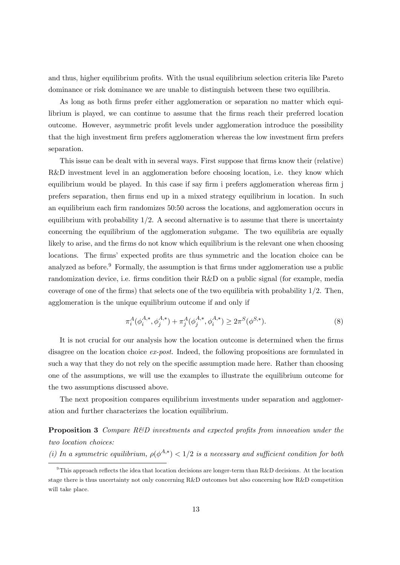and thus, higher equilibrium profits. With the usual equilibrium selection criteria like Pareto dominance or risk dominance we are unable to distinguish between these two equilibria.

As long as both firms prefer either agglomeration or separation no matter which equilibrium is played, we can continue to assume that the firms reach their preferred location outcome. However, asymmetric profit levels under agglomeration introduce the possibility that the high investment firm prefers agglomeration whereas the low investment firm prefers separation.

This issue can be dealt with in several ways. First suppose that firms know their (relative) R&D investment level in an agglomeration before choosing location, i.e. they know which equilibrium would be played. In this case if say firm i prefers agglomeration whereas firm j prefers separation, then firms end up in a mixed strategy equilibrium in location. In such an equilibrium each firm randomizes 50:50 across the locations, and agglomeration occurs in equilibrium with probability  $1/2$ . A second alternative is to assume that there is uncertainty concerning the equilibrium of the agglomeration subgame. The two equilibria are equally likely to arise, and the firms do not know which equilibrium is the relevant one when choosing locations. The firms' expected profits are thus symmetric and the location choice can be analyzed as before.<sup>9</sup> Formally, the assumption is that firms under agglomeration use a public randomization device, i.e. firms condition their R&D on a public signal (for example, media coverage of one of the firms) that selects one of the two equilibria with probability 1/2. Then, agglomeration is the unique equilibrium outcome if and only if

$$
\pi_i^A(\phi_i^{A,*}, \phi_j^{A,*}) + \pi_j^A(\phi_j^{A,*}, \phi_i^{A,*}) \ge 2\pi^S(\phi^{S,*}).
$$
\n(8)

It is not crucial for our analysis how the location outcome is determined when the firms disagree on the location choice ex-post. Indeed, the following propositions are formulated in such a way that they do not rely on the specific assumption made here. Rather than choosing one of the assumptions, we will use the examples to illustrate the equilibrium outcome for the two assumptions discussed above.

The next proposition compares equilibrium investments under separation and agglomeration and further characterizes the location equilibrium.

**Proposition 3** Compare  $R\&D$  investments and expected profits from innovation under the two location choices:

(i) In a symmetric equilibrium,  $\rho(\phi^{A,*}) < 1/2$  is a necessary and sufficient condition for both

<sup>&</sup>lt;sup>9</sup>This approach reflects the idea that location decisions are longer-term than R&D decisions. At the location stage there is thus uncertainty not only concerning R&D outcomes but also concerning how R&D competition will take place.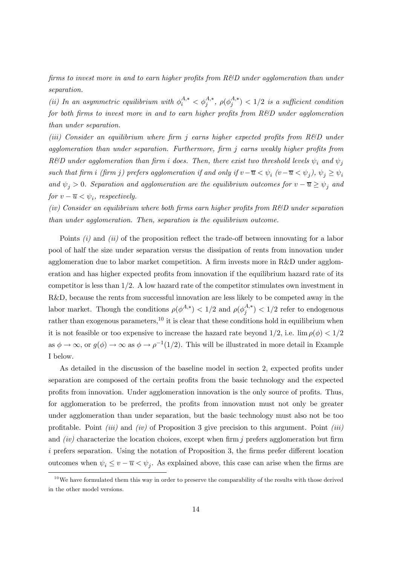firms to invest more in and to earn higher profits from  $R\&D$  under agglomeration than under separation.

(ii) In an asymmetric equilibrium with  $\phi_i^{A,*} < \phi_j^{A,*}$ ,  $\rho(\phi_j^{A,*}) < 1/2$  is a sufficient condition for both firms to invest more in and to earn higher profits from  $R\&D$  under agglomeration than under separation.

(iii) Consider an equilibrium where firm j earns higher expected profits from  $R\&D$  under agglomeration than under separation. Furthermore, firm j earns weakly higher profits from R&D under agglomeration than firm i does. Then, there exist two threshold levels  $\psi_i$  and  $\psi_j$ such that firm i (firm j) prefers agglomeration if and only if  $v-\overline{u} < \psi_i$  ( $v-\overline{u} < \psi_j$ ),  $\psi_j \ge \psi_i$ and  $\psi_j > 0$ . Separation and agglomeration are the equilibrium outcomes for  $v - \overline{u} \ge \psi_j$  and for  $v - \overline{u} < \psi_i$ , respectively.

 $(iv)$  Consider an equilibrium where both firms earn higher profits from  $R\&D$  under separation than under agglomeration. Then, separation is the equilibrium outcome.

Points *(i)* and *(ii)* of the proposition reflect the trade-off between innovating for a labor pool of half the size under separation versus the dissipation of rents from innovation under agglomeration due to labor market competition. A firm invests more in R&D under agglomeration and has higher expected profits from innovation if the equilibrium hazard rate of its competitor is less than  $1/2$ . A low hazard rate of the competitor stimulates own investment in R&D, because the rents from successful innovation are less likely to be competed away in the labor market. Though the conditions  $\rho(\phi^{A,*}) < 1/2$  and  $\rho(\phi^{A,*}_j) < 1/2$  refer to endogenous rather than exogenous parameters,<sup>10</sup> it is clear that these conditions hold in equilibrium when it is not feasible or too expensive to increase the hazard rate beyond  $1/2$ , i.e.  $\lim \rho(\phi) < 1/2$ as  $\phi \to \infty$ , or  $g(\phi) \to \infty$  as  $\phi \to \rho^{-1}(1/2)$ . This will be illustrated in more detail in Example I below.

As detailed in the discussion of the baseline model in section 2, expected profits under separation are composed of the certain profits from the basic technology and the expected profits from innovation. Under agglomeration innovation is the only source of profits. Thus, for agglomeration to be preferred, the profits from innovation must not only be greater under agglomeration than under separation, but the basic technology must also not be too profitable. Point *(iii)* and *(iv)* of Proposition 3 give precision to this argument. Point *(iii)* and  $(iv)$  characterize the location choices, except when firm j prefers agglomeration but firm  $i$  prefers separation. Using the notation of Proposition 3, the firms prefer different location outcomes when  $\psi_i \leq v - \overline{u} < \psi_j$ . As explained above, this case can arise when the firms are

 $10$  We have formulated them this way in order to preserve the comparability of the results with those derived in the other model versions.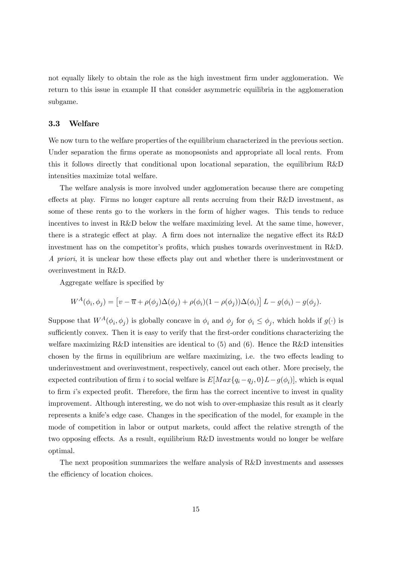not equally likely to obtain the role as the high investment firm under agglomeration. We return to this issue in example II that consider asymmetric equilibria in the agglomeration subgame.

#### 3.3 Welfare

We now turn to the welfare properties of the equilibrium characterized in the previous section. Under separation the firms operate as monopsonists and appropriate all local rents. From this it follows directly that conditional upon locational separation, the equilibrium R&D intensities maximize total welfare.

The welfare analysis is more involved under agglomeration because there are competing effects at play. Firms no longer capture all rents accruing from their R&D investment, as some of these rents go to the workers in the form of higher wages. This tends to reduce incentives to invest in R&D below the welfare maximizing level. At the same time, however, there is a strategic effect at play. A firm does not internalize the negative effect its R&D investment has on the competitor's profits, which pushes towards overinvestment in R&D. A priori, it is unclear how these effects play out and whether there is underinvestment or overinvestment in R&D.

Aggregate welfare is specified by

$$
W^A(\phi_i, \phi_j) = \left[ v - \overline{u} + \rho(\phi_j) \Delta(\phi_j) + \rho(\phi_i) (1 - \rho(\phi_j)) \Delta(\phi_i) \right] L - g(\phi_i) - g(\phi_j).
$$

Suppose that  $W^A(\phi_i, \phi_j)$  is globally concave in  $\phi_i$  and  $\phi_j$  for  $\phi_i \leq \phi_j$ , which holds if  $g(\cdot)$  is sufficiently convex. Then it is easy to verify that the first-order conditions characterizing the welfare maximizing R&D intensities are identical to  $(5)$  and  $(6)$ . Hence the R&D intensities chosen by the firms in equilibrium are welfare maximizing, i.e. the two effects leading to underinvestment and overinvestment, respectively, cancel out each other. More precisely, the expected contribution of firm i to social welfare is  $E[Max{q_i-q_j,0}L-g(\phi_i)]$ , which is equal to firm i's expected profit. Therefore, the firm has the correct incentive to invest in quality improvement. Although interesting, we do not wish to over-emphasize this result as it clearly represents a knife's edge case. Changes in the specification of the model, for example in the mode of competition in labor or output markets, could affect the relative strength of the two opposing effects. As a result, equilibrium R&D investments would no longer be welfare optimal.

The next proposition summarizes the welfare analysis of R&D investments and assesses the efficiency of location choices.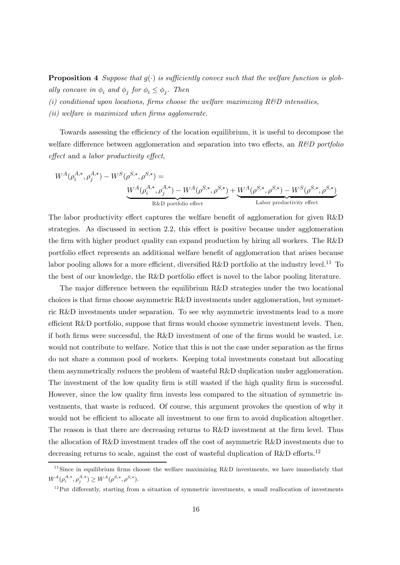**Proposition 4** Suppose that  $g(\cdot)$  is sufficiently convex such that the welfare function is globally concave in  $\phi_i$  and  $\phi_j$  for  $\phi_i \leq \phi_j$ . Then

 $(i)$  conditional upon locations, firms choose the welfare maximizing R&D intensities,

(ii) welfare is maximized when firms agglomerate.

Towards assessing the efficiency of the location equilibrium, it is useful to decompose the welfare difference between agglomeration and separation into two effects, an  $R\&D$  portfolio effect and a labor productivity effect,

$$
W^{A}(\rho_{i}^{A,*}, \rho_{j}^{A,*}) - W^{S}(\rho^{S,*}, \rho^{S,*}) =
$$
\n
$$
\underbrace{W^{A}(\rho_{i}^{A,*}, \rho_{j}^{A,*}) - W^{A}(\rho^{S,*}, \rho^{S,*})}_{\text{R&D portfolio effect}} + \underbrace{W^{A}(\rho^{S,*}, \rho^{S,*}) - W^{S}(\rho^{S,*}, \rho^{S,*})}_{\text{Labor productivity effect}}
$$

The labor productivity effect captures the welfare benefit of agglomeration for given R&D strategies. As discussed in section 2.2, this effect is positive because under agglomeration the firm with higher product quality can expand production by hiring all workers. The R&D portfolio effect represents an additional welfare benefit of agglomeration that arises because labor pooling allows for a more efficient, diversified R&D portfolio at the industry level.<sup>11</sup> To the best of our knowledge, the R&D portfolio effect is novel to the labor pooling literature.

The major difference between the equilibrium R&D strategies under the two locational choices is that firms choose asymmetric R&D investments under agglomeration, but symmetric R&D investments under separation. To see why asymmetric investments lead to a more efficient R&D portfolio, suppose that firms would choose symmetric investment levels. Then, if both firms were successful, the R&D investment of one of the firms would be wasted, i.e. would not contribute to welfare. Notice that this is not the case under separation as the firms do not share a common pool of workers. Keeping total investments constant but allocating them asymmetrically reduces the problem of wasteful R&D duplication under agglomeration. The investment of the low quality firm is still wasted if the high quality firm is successful. However, since the low quality firm invests less compared to the situation of symmetric investments, that waste is reduced. Of course, this argument provokes the question of why it would not be efficient to allocate all investment to one firm to avoid duplication altogether. The reason is that there are decreasing returns to R&D investment at the firm level. Thus the allocation of R&D investment trades off the cost of asymmetric R&D investments due to decreasing returns to scale, against the cost of wasteful duplication of R&D efforts.<sup>12</sup>

<sup>&</sup>lt;sup>11</sup>Since in equilibrium firms choose the welfare maximizing  $R\&D$  investments, we have immediately that  $W^{A}(\rho_{i}^{A,*}, \rho_{j}^{A,*}) \geq W^{A}(\rho^{S,*}, \rho^{S,*}).$ 

 $12$ Put differently, starting from a situation of symmetric investments, a small reallocation of investments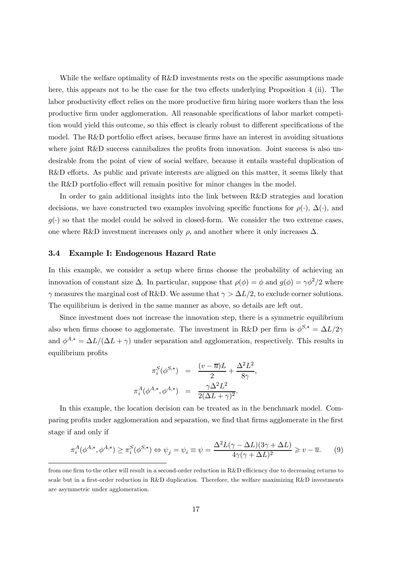While the welfare optimality of R&D investments rests on the specific assumptions made here, this appears not to be the case for the two effects underlying Proposition 4 (ii). The labor productivity effect relies on the more productive firm hiring more workers than the less productive firm under agglomeration. All reasonable specifications of labor market competition would yield this outcome, so this effect is clearly robust to different specifications of the model. The R&D portfolio effect arises, because firms have an interest in avoiding situations where joint R&D success cannibalizes the profits from innovation. Joint success is also undesirable from the point of view of social welfare, because it entails wasteful duplication of R&D efforts. As public and private interests are aligned on this matter, it seems likely that the R&D portfolio effect will remain positive for minor changes in the model.

In order to gain additional insights into the link between R&D strategies and location decisions, we have constructed two examples involving specific functions for  $\rho(\cdot)$ ,  $\Delta(\cdot)$ , and  $g(\cdot)$  so that the model could be solved in closed-form. We consider the two extreme cases, one where R&D investment increases only  $\rho$ , and another where it only increases  $\Delta$ .

#### 3.4 Example I: Endogenous Hazard Rate

In this example, we consider a setup where firms choose the probability of achieving an innovation of constant size  $\Delta$ . In particular, suppose that  $\rho(\phi) = \phi$  and  $g(\phi) = \gamma \phi^2/2$  where  $\gamma$  measures the marginal cost of R&D. We assume that  $\gamma > \Delta L/2$ , to exclude corner solutions. The equilibrium is derived in the same manner as above, so details are left out.

Since investment does not increase the innovation step, there is a symmetric equilibrium also when firms choose to agglomerate. The investment in R&D per firm is  $\phi^{S,*} = \Delta L/2\gamma$ and  $\phi^{A,*} = \Delta L/(\Delta L + \gamma)$  under separation and agglomeration, respectively. This results in equilibrium profits

$$
\pi_i^S(\phi^{S,*}) = \frac{(v - \overline{u})L}{2} + \frac{\Delta^2 L^2}{8\gamma},
$$

$$
\pi_i^A(\phi^{A,*}, \phi^{A,*}) = \frac{\gamma \Delta^2 L^2}{2(\Delta L + \gamma)^2}.
$$

In this example, the location decision can be treated as in the benchmark model. Comparing profits under agglomeration and separation, we find that firms agglomerate in the first stage if and only if

$$
\pi_i^A(\phi^{A,*}, \phi^{A,*}) \ge \pi_i^S(\phi^{S,*}) \Leftrightarrow \psi_j = \psi_i \equiv \psi = \frac{\Delta^2 L(\gamma - \Delta L)(3\gamma + \Delta L)}{4\gamma(\gamma + \Delta L)^2} \ge v - \overline{u}.\tag{9}
$$

from one firm to the other will result in a second-order reduction in R&D efficiency due to decreasing returns to scale but in a first-order reduction in R&D duplication. Therefore, the welfare maximizing R&D investments are asymmetric under agglomeration.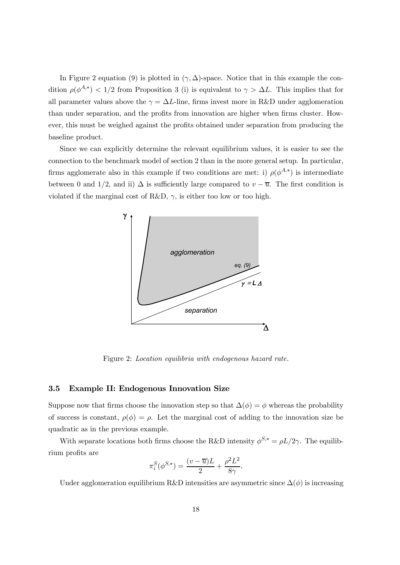In Figure 2 equation (9) is plotted in  $(\gamma, \Delta)$ -space. Notice that in this example the condition  $\rho(\phi^{A,*})$  < 1/2 from Proposition 3 (i) is equivalent to  $\gamma > \Delta L$ . This implies that for all parameter values above the  $\gamma = \Delta L$ -line, firms invest more in R&D under agglomeration than under separation, and the profits from innovation are higher when firms cluster. However, this must be weighed against the profits obtained under separation from producing the baseline product.

Since we can explicitly determine the relevant equilibrium values, it is easier to see the connection to the benchmark model of section 2 than in the more general setup. In particular, firms agglomerate also in this example if two conditions are met: i)  $\rho(\phi^{A,*})$  is intermediate between 0 and 1/2, and ii)  $\Delta$  is sufficiently large compared to  $v - \overline{u}$ . The first condition is violated if the marginal cost of R&D,  $\gamma$ , is either too low or too high.



Figure 2: Location equilibria with endogenous hazard rate.

#### 3.5 Example II: Endogenous Innovation Size

Suppose now that firms choose the innovation step so that  $\Delta(\phi) = \phi$  whereas the probability of success is constant,  $\rho(\phi) = \rho$ . Let the marginal cost of adding to the innovation size be quadratic as in the previous example.

With separate locations both firms choose the R&D intensity  $\phi^{S,*} = \rho L/2\gamma$ . The equilibrium profits are

$$
\pi_i^S(\phi^{S,*}) = \frac{(v - \overline{u})L}{2} + \frac{\rho^2 L^2}{8\gamma}.
$$

Under agglomeration equilibrium R&D intensities are asymmetric since  $\Delta(\phi)$  is increasing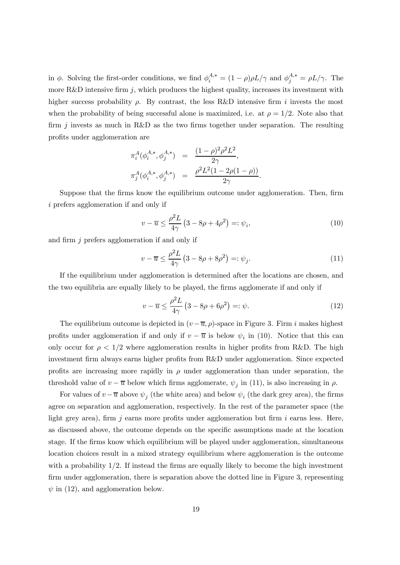in  $\phi$ . Solving the first-order conditions, we find  $\phi_i^{A,*} = (1 - \rho)\rho L/\gamma$  and  $\phi_j^{A,*} = \rho L/\gamma$ . The more R&D intensive firm j, which produces the highest quality, increases its investment with higher success probability  $\rho$ . By contrast, the less R&D intensive firm i invests the most when the probability of being successful alone is maximized, i.e. at  $\rho = 1/2$ . Note also that firm j invests as much in R&D as the two firms together under separation. The resulting profits under agglomeration are

$$
\pi_i^A(\phi_i^{A,*}, \phi_j^{A,*}) = \frac{(1-\rho)^2 \rho^2 L^2}{2\gamma},
$$
  

$$
\pi_j^A(\phi_i^{A,*}, \phi_j^{A,*}) = \frac{\rho^2 L^2 (1 - 2\rho(1 - \rho))}{2\gamma}.
$$

Suppose that the firms know the equilibrium outcome under agglomeration. Then, firm i prefers agglomeration if and only if

$$
v - \overline{u} \le \frac{\rho^2 L}{4\gamma} \left( 3 - 8\rho + 4\rho^2 \right) =: \psi_i,
$$
\n(10)

and firm j prefers agglomeration if and only if

$$
v - \overline{u} \le \frac{\rho^2 L}{4\gamma} \left( 3 - 8\rho + 8\rho^2 \right) =: \psi_j. \tag{11}
$$

If the equilibrium under agglomeration is determined after the locations are chosen, and the two equilibria are equally likely to be played, the firms agglomerate if and only if

$$
v - \overline{u} \le \frac{\rho^2 L}{4\gamma} \left( 3 - 8\rho + 6\rho^2 \right) =: \psi.
$$
 (12)

The equilibrium outcome is depicted in  $(v - \overline{u}, \rho)$ -space in Figure 3. Firm i makes highest profits under agglomeration if and only if  $v - \overline{u}$  is below  $\psi_i$  in (10). Notice that this can only occur for  $\rho < 1/2$  where agglomeration results in higher profits from R&D. The high investment firm always earns higher profits from R&D under agglomeration. Since expected profits are increasing more rapidly in  $\rho$  under agglomeration than under separation, the threshold value of  $v - \overline{u}$  below which firms agglomerate,  $\psi_j$  in (11), is also increasing in  $\rho$ .

For values of  $v - \overline{u}$  above  $\psi_i$  (the white area) and below  $\psi_i$  (the dark grey area), the firms agree on separation and agglomeration, respectively. In the rest of the parameter space (the light grey area), firm  $j$  earns more profits under agglomeration but firm  $i$  earns less. Here, as discussed above, the outcome depends on the specific assumptions made at the location stage. If the firms know which equilibrium will be played under agglomeration, simultaneous location choices result in a mixed strategy equilibrium where agglomeration is the outcome with a probability  $1/2$ . If instead the firms are equally likely to become the high investment firm under agglomeration, there is separation above the dotted line in Figure 3, representing  $\psi$  in (12), and agglomeration below.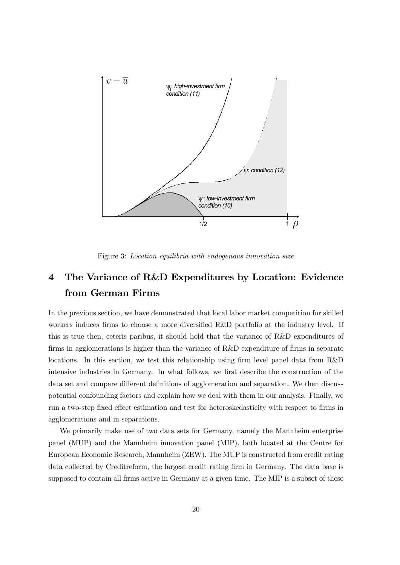

Figure 3: Location equilibria with endogenous innovation size

# 4 The Variance of R&D Expenditures by Location: Evidence from German Firms

In the previous section, we have demonstrated that local labor market competition for skilled workers induces firms to choose a more diversified R&D portfolio at the industry level. If this is true then, ceteris paribus, it should hold that the variance of R&D expenditures of firms in agglomerations is higher than the variance of R&D expenditure of firms in separate locations. In this section, we test this relationship using firm level panel data from R&D intensive industries in Germany. In what follows, we first describe the construction of the data set and compare different definitions of agglomeration and separation. We then discuss potential confounding factors and explain how we deal with them in our analysis. Finally, we run a two-step fixed effect estimation and test for heteroskedasticity with respect to firms in agglomerations and in separations.

We primarily make use of two data sets for Germany, namely the Mannheim enterprise panel (MUP) and the Mannheim innovation panel (MIP), both located at the Centre for European Economic Research, Mannheim (ZEW). The MUP is constructed from credit rating data collected by Creditreform, the largest credit rating firm in Germany. The data base is supposed to contain all firms active in Germany at a given time. The MIP is a subset of these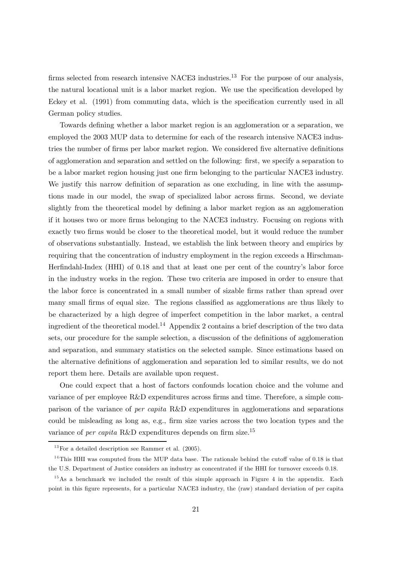firms selected from research intensive NACE3 industries.<sup>13</sup> For the purpose of our analysis, the natural locational unit is a labor market region. We use the specification developed by Eckey et al. (1991) from commuting data, which is the specification currently used in all German policy studies.

Towards defining whether a labor market region is an agglomeration or a separation, we employed the 2003 MUP data to determine for each of the research intensive NACE3 industries the number of firms per labor market region. We considered five alternative definitions of agglomeration and separation and settled on the following: first, we specify a separation to be a labor market region housing just one firm belonging to the particular NACE3 industry. We justify this narrow definition of separation as one excluding, in line with the assumptions made in our model, the swap of specialized labor across firms. Second, we deviate slightly from the theoretical model by defining a labor market region as an agglomeration if it houses two or more firms belonging to the NACE3 industry. Focusing on regions with exactly two firms would be closer to the theoretical model, but it would reduce the number of observations substantially. Instead, we establish the link between theory and empirics by requiring that the concentration of industry employment in the region exceeds a Hirschman-Herfindahl-Index (HHI) of 0.18 and that at least one per cent of the country's labor force in the industry works in the region. These two criteria are imposed in order to ensure that the labor force is concentrated in a small number of sizable firms rather than spread over many small firms of equal size. The regions classified as agglomerations are thus likely to be characterized by a high degree of imperfect competition in the labor market, a central ingredient of the theoretical model.14 Appendix 2 contains a brief description of the two data sets, our procedure for the sample selection, a discussion of the definitions of agglomeration and separation, and summary statistics on the selected sample. Since estimations based on the alternative definitions of agglomeration and separation led to similar results, we do not report them here. Details are available upon request.

One could expect that a host of factors confounds location choice and the volume and variance of per employee R&D expenditures across firms and time. Therefore, a simple comparison of the variance of per capita R&D expenditures in agglomerations and separations could be misleading as long as, e.g., firm size varies across the two location types and the variance of per capita R&D expenditures depends on firm size.<sup>15</sup>

 $^{13}$  For a detailed description see Rammer et al. (2005).

<sup>&</sup>lt;sup>14</sup>This HHI was computed from the MUP data base. The rationale behind the cutoff value of 0.18 is that the U.S. Department of Justice considers an industry as concentrated if the HHI for turnover exceeds 0.18.

 $15$ As a benchmark we included the result of this simple approach in Figure 4 in the appendix. Each point in this figure represents, for a particular NACE3 industry, the (raw) standard deviation of per capita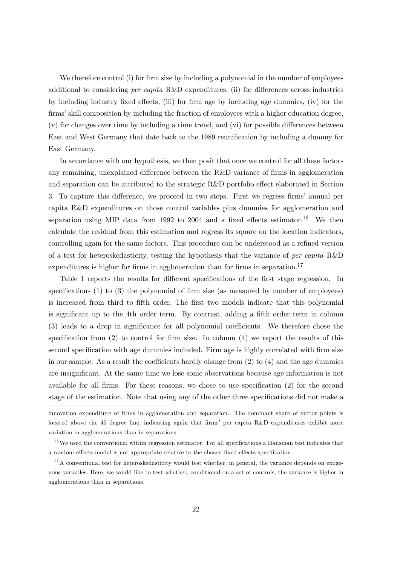We therefore control (i) for firm size by including a polynomial in the number of employees additional to considering per capita R&D expenditures, (ii) for differences across industries by including industry fixed effects, (iii) for firm age by including age dummies, (iv) for the firms' skill composition by including the fraction of employees with a higher education degree, (v) for changes over time by including a time trend, and (vi) for possible differences between East and West Germany that date back to the 1989 reunification by including a dummy for East Germany.

In accordance with our hypothesis, we then posit that once we control for all these factors any remaining, unexplained difference between the R&D variance of firms in agglomeration and separation can be attributed to the strategic R&D portfolio effect elaborated in Section 3. To capture this difference, we proceed in two steps. First we regress firms' annual per capita R&D expenditures on those control variables plus dummies for agglomeration and separation using MIP data from 1992 to 2004 and a fixed effects estimator.<sup>16</sup> We then calculate the residual from this estimation and regress its square on the location indicators, controlling again for the same factors. This procedure can be understood as a refined version of a test for heteroskedasticity, testing the hypothesis that the variance of per capita R&D expenditures is higher for firms in agglomeration than for firms in separation.<sup>17</sup>

Table 1 reports the results for different specifications of the first stage regression. In specifications (1) to (3) the polynomial of firm size (as measured by number of employees) is increased from third to fifth order. The first two models indicate that this polynomial is significant up to the 4th order term. By contrast, adding a fifth order term in column (3) leads to a drop in significance for all polynomial coefficients. We therefore chose the specification from  $(2)$  to control for firm size. In column  $(4)$  we report the results of this second specification with age dummies included. Firm age is highly correlated with firm size in our sample. As a result the coefficients hardly change from (2) to (4) and the age dummies are insignificant. At the same time we lose some observations because age information is not available for all firms. For these reasons, we chose to use specification (2) for the second stage of the estimation. Note that using any of the other three specifications did not make a

innovation expenditure of firms in agglomeration and separation. The dominant share of vector points is located above the 45 degree line, indicating again that firms' per capita R&D expenditures exhibit more variation in agglomerations than in separations.

 $16$  We used the conventional within regression estimator. For all specifications a Hausman test indicates that a random effects model is not appropriate relative to the chosen fixed effects specification.

 $17$ A conventional test for heteroskedasticity would test whether, in general, the variance depends on exogenous variables. Here, we would like to test whether, conditional on a set of controls, the variance is higher in agglomerations than in separations.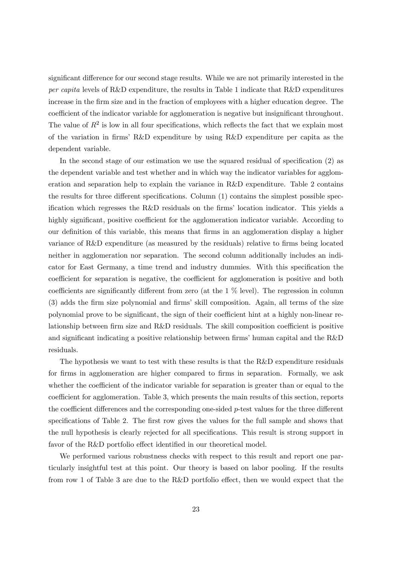significant difference for our second stage results. While we are not primarily interested in the per capita levels of R&D expenditure, the results in Table 1 indicate that R&D expenditures increase in the firm size and in the fraction of employees with a higher education degree. The coefficient of the indicator variable for agglomeration is negative but insignificant throughout. The value of  $R^2$  is low in all four specifications, which reflects the fact that we explain most of the variation in firms' R&D expenditure by using R&D expenditure per capita as the dependent variable.

In the second stage of our estimation we use the squared residual of specification (2) as the dependent variable and test whether and in which way the indicator variables for agglomeration and separation help to explain the variance in R&D expenditure. Table 2 contains the results for three different specifications. Column (1) contains the simplest possible specification which regresses the R&D residuals on the firms' location indicator. This yields a highly significant, positive coefficient for the agglomeration indicator variable. According to our definition of this variable, this means that firms in an agglomeration display a higher variance of R&D expenditure (as measured by the residuals) relative to firms being located neither in agglomeration nor separation. The second column additionally includes an indicator for East Germany, a time trend and industry dummies. With this specification the coefficient for separation is negative, the coefficient for agglomeration is positive and both coefficients are significantly different from zero (at the 1 % level). The regression in column (3) adds the firm size polynomial and firms' skill composition. Again, all terms of the size polynomial prove to be significant, the sign of their coefficient hint at a highly non-linear relationship between firm size and R&D residuals. The skill composition coefficient is positive and significant indicating a positive relationship between firms' human capital and the R&D residuals.

The hypothesis we want to test with these results is that the R&D expenditure residuals for firms in agglomeration are higher compared to firms in separation. Formally, we ask whether the coefficient of the indicator variable for separation is greater than or equal to the coefficient for agglomeration. Table 3, which presents the main results of this section, reports the coefficient differences and the corresponding one-sided  $p$ -test values for the three different specifications of Table 2. The first row gives the values for the full sample and shows that the null hypothesis is clearly rejected for all specifications. This result is strong support in favor of the R&D portfolio effect identified in our theoretical model.

We performed various robustness checks with respect to this result and report one particularly insightful test at this point. Our theory is based on labor pooling. If the results from row 1 of Table 3 are due to the R&D portfolio effect, then we would expect that the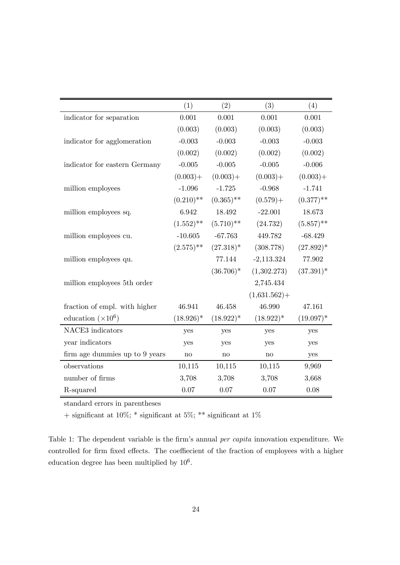|                                | (1)          | (2)          | (3)             | (4)          |
|--------------------------------|--------------|--------------|-----------------|--------------|
| indicator for separation       | 0.001        | 0.001        | 0.001           | 0.001        |
|                                | (0.003)      | (0.003)      | (0.003)         | (0.003)      |
| indicator for agglomeration    | $-0.003$     | $-0.003$     | $-0.003$        | $-0.003$     |
|                                | (0.002)      | (0.002)      | (0.002)         | (0.002)      |
| indicator for eastern Germany  | $-0.005$     | $-0.005$     | $-0.005$        | $-0.006$     |
|                                | $(0.003) +$  | $(0.003) +$  | $(0.003) +$     | $(0.003) +$  |
| million employees              | $-1.096$     | $-1.725$     | $-0.968$        | $-1.741$     |
|                                | $(0.210)$ ** | $(0.365)$ ** | $(0.579) +$     | $(0.377)$ ** |
| million employees sq.          | 6.942        | 18.492       | $-22.001$       | 18.673       |
|                                | $(1.552)$ ** | $(5.710)$ ** | (24.732)        | $(5.857)$ ** |
| million employees cu.          | $-10.605$    | $-67.763$    | 449.782         | $-68.429$    |
|                                | $(2.575)$ ** | $(27.318)^*$ | (308.778)       | $(27.892)^*$ |
| million employees qu.          |              | 77.144       | $-2,113.324$    | 77.902       |
|                                |              | $(36.706)^*$ | (1,302.273)     | $(37.391)^*$ |
| million employees 5th order    |              |              | 2,745.434       |              |
|                                |              |              | $(1,631.562) +$ |              |
| fraction of empl. with higher  | 46.941       | 46.458       | 46.990          | 47.161       |
| education $(\times 10^6)$      | $(18.926)^*$ | $(18.922)^*$ | $(18.922)^*$    | $(19.097)^*$ |
| NACE3 indicators               | yes          | yes          | yes             | yes          |
| year indicators                | yes          | yes          | yes             | yes          |
| firm age dummies up to 9 years | no           | $\mathbf{n}$ | $\mathbf{n}$    | yes          |
| observations                   | 10,115       | 10,115       | 10,115          | 9,969        |
| number of firms                | 3,708        | 3,708        | 3,708           | 3,668        |
| R-squared                      | 0.07         | 0.07         | 0.07            | 0.08         |

standard errors in parentheses

 $+$  significant at 10%;  $^*$  significant at  $1\%$ 

Table 1: The dependent variable is the firm's annual per capita innovation expenditure. We controlled for firm fixed effects. The coeffiecient of the fraction of employees with a higher education degree has been multiplied by  $10^6\cdot$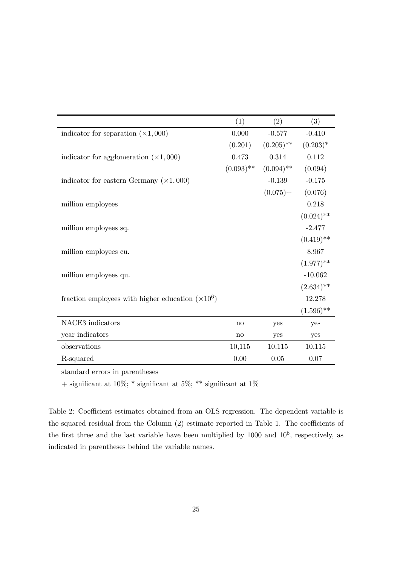|                                                          | (1)          | (2)          | (3)          |
|----------------------------------------------------------|--------------|--------------|--------------|
| indicator for separation $(\times 1,000)$                | 0.000        | $-0.577$     | $-0.410$     |
|                                                          | (0.201)      | $(0.205)$ ** | $(0.203)*$   |
| indicator for agglomeration $(\times 1,000)$             | 0.473        | 0.314        | 0.112        |
|                                                          | $(0.093)$ ** | $(0.094)$ ** | (0.094)      |
| indicator for eastern Germany $(\times 1,000)$           |              | $-0.139$     | $-0.175$     |
|                                                          |              | $(0.075) +$  | (0.076)      |
| million employees                                        |              |              | 0.218        |
|                                                          |              |              | $(0.024)$ ** |
| million employees sq.                                    |              |              | $-2.477$     |
|                                                          |              |              | $(0.419)$ ** |
| million employees cu.                                    |              |              | 8.967        |
|                                                          |              |              | $(1.977)$ ** |
| million employees qu.                                    |              |              | $-10.062$    |
|                                                          |              |              | $(2.634)$ ** |
| fraction employees with higher education $(\times 10^6)$ |              |              | 12.278       |
|                                                          |              |              | $(1.596)$ ** |
| NACE3 indicators                                         | no           | yes          | yes          |
| year indicators                                          | $\mathbf{n}$ | yes          | yes          |
| observations                                             | 10,115       | 10,115       | 10,115       |
| R-squared                                                | 0.00         | 0.05         | 0.07         |

standard errors in parentheses

 $+$  significant at 10%;  $^*$  significant at  $1\%$ 

Table 2: Coefficient estimates obtained from an OLS regression. The dependent variable is the squared residual from the Column (2) estimate reported in Table 1. The coefficients of the first three and the last variable have been multiplied by  $1000$  and  $10^6$ , respectively, as indicated in parentheses behind the variable names.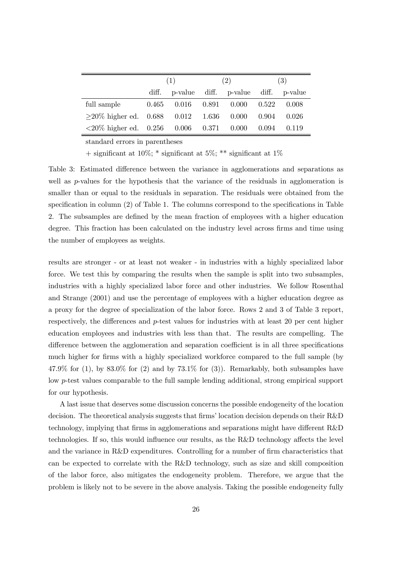|                                                                                   | (1)   |                                 | (2)                                 |  | (3)   |       |
|-----------------------------------------------------------------------------------|-------|---------------------------------|-------------------------------------|--|-------|-------|
|                                                                                   | diff. |                                 | p-value diff. p-value diff. p-value |  |       |       |
| full sample                                                                       |       | $0.465$ $0.016$ $0.891$ $0.000$ |                                     |  | 0.522 | 0.008 |
| $\geq$ 20% higher ed. 0.688 0.012 1.636 0.000                                     |       |                                 |                                     |  | 0.904 | 0.026 |
| $\langle 20\% \text{ higher ed.} \quad 0.256 \quad 0.006 \quad 0.371 \quad 0.000$ |       |                                 |                                     |  | 0.094 | 0.119 |

standard errors in parentheses

+ significant at 10%;  $*$  significant at 5%;  $**$  significant at 1%

Table 3: Estimated difference between the variance in agglomerations and separations as well as  $p$ -values for the hypothesis that the variance of the residuals in agglomeration is smaller than or equal to the residuals in separation. The residuals were obtained from the specification in column (2) of Table 1. The columns correspond to the specifications in Table 2. The subsamples are defined by the mean fraction of employees with a higher education degree. This fraction has been calculated on the industry level across firms and time using the number of employees as weights.

results are stronger - or at least not weaker - in industries with a highly specialized labor force. We test this by comparing the results when the sample is split into two subsamples, industries with a highly specialized labor force and other industries. We follow Rosenthal and Strange (2001) and use the percentage of employees with a higher education degree as a proxy for the degree of specialization of the labor force. Rows 2 and 3 of Table 3 report, respectively, the differences and p-test values for industries with at least 20 per cent higher education employees and industries with less than that. The results are compelling. The difference between the agglomeration and separation coefficient is in all three specifications much higher for firms with a highly specialized workforce compared to the full sample (by  $47.9\%$  for (1), by  $83.0\%$  for (2) and by  $73.1\%$  for (3)). Remarkably, both subsamples have low p-test values comparable to the full sample lending additional, strong empirical support for our hypothesis.

A last issue that deserves some discussion concerns the possible endogeneity of the location decision. The theoretical analysis suggests that firms' location decision depends on their R&D technology, implying that firms in agglomerations and separations might have different R&D technologies. If so, this would influence our results, as the R&D technology affects the level and the variance in R&D expenditures. Controlling for a number of firm characteristics that can be expected to correlate with the R&D technology, such as size and skill composition of the labor force, also mitigates the endogeneity problem. Therefore, we argue that the problem is likely not to be severe in the above analysis. Taking the possible endogeneity fully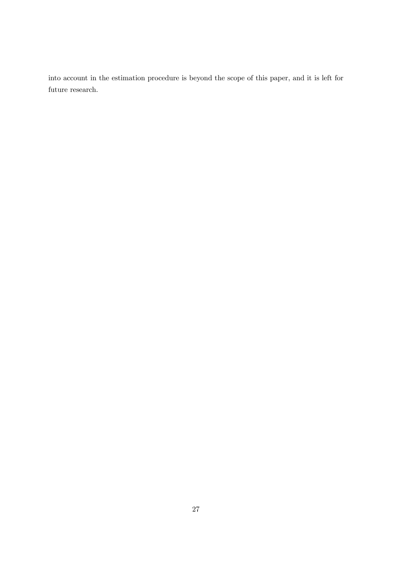into account in the estimation procedure is beyond the scope of this paper, and it is left for future research.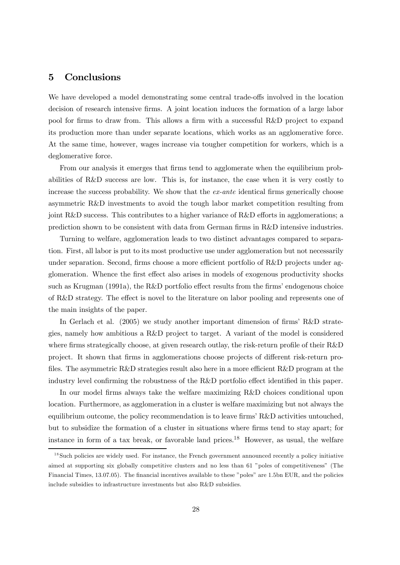## 5 Conclusions

We have developed a model demonstrating some central trade-offs involved in the location decision of research intensive firms. A joint location induces the formation of a large labor pool for firms to draw from. This allows a firm with a successful R&D project to expand its production more than under separate locations, which works as an agglomerative force. At the same time, however, wages increase via tougher competition for workers, which is a deglomerative force.

From our analysis it emerges that firms tend to agglomerate when the equilibrium probabilities of R&D success are low. This is, for instance, the case when it is very costly to increase the success probability. We show that the *ex-ante* identical firms generically choose asymmetric R&D investments to avoid the tough labor market competition resulting from joint R&D success. This contributes to a higher variance of R&D efforts in agglomerations; a prediction shown to be consistent with data from German firms in R&D intensive industries.

Turning to welfare, agglomeration leads to two distinct advantages compared to separation. First, all labor is put to its most productive use under agglomeration but not necessarily under separation. Second, firms choose a more efficient portfolio of R&D projects under agglomeration. Whence the first effect also arises in models of exogenous productivity shocks such as Krugman (1991a), the R&D portfolio effect results from the firms' endogenous choice of R&D strategy. The effect is novel to the literature on labor pooling and represents one of the main insights of the paper.

In Gerlach et al. (2005) we study another important dimension of firms' R&D strategies, namely how ambitious a R&D project to target. A variant of the model is considered where firms strategically choose, at given research outlay, the risk-return profile of their R&D project. It shown that firms in agglomerations choose projects of different risk-return profiles. The asymmetric R&D strategies result also here in a more efficient R&D program at the industry level confirming the robustness of the R&D portfolio effect identified in this paper.

In our model firms always take the welfare maximizing R&D choices conditional upon location. Furthermore, as agglomeration in a cluster is welfare maximizing but not always the equilibrium outcome, the policy recommendation is to leave firms' R&D activities untouched, but to subsidize the formation of a cluster in situations where firms tend to stay apart; for instance in form of a tax break, or favorable land prices.<sup>18</sup> However, as usual, the welfare

<sup>&</sup>lt;sup>18</sup>Such policies are widely used. For instance, the French government announced recently a policy initiative aimed at supporting six globally competitive clusters and no less than 61 "poles of competitiveness" (The Financial Times, 13.07.05). The financial incentives available to these "poles" are 1.5bn EUR, and the policies include subsidies to infrastructure investments but also R&D subsidies.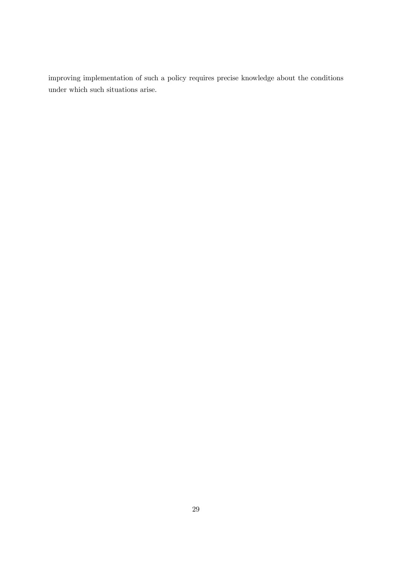improving implementation of such a policy requires precise knowledge about the conditions under which such situations arise.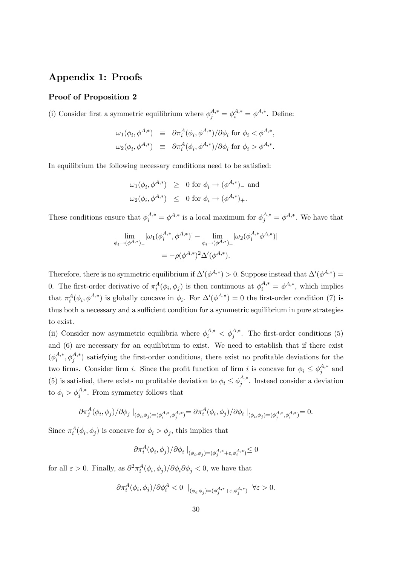# Appendix 1: Proofs

#### Proof of Proposition 2

(i) Consider first a symmetric equilibrium where  $\phi_j^{A,*} = \phi_i^{A,*} = \phi^{A,*}$ . Define:

$$
\omega_1(\phi_i, \phi^{A,*}) \equiv \partial \pi_i^A(\phi_i, \phi^{A,*})/\partial \phi_i \text{ for } \phi_i < \phi^{A,*},
$$
  

$$
\omega_2(\phi_i, \phi^{A,*}) \equiv \partial \pi_i^A(\phi_i, \phi^{A,*})/\partial \phi_i \text{ for } \phi_i > \phi^{A,*}.
$$

In equilibrium the following necessary conditions need to be satisfied:

$$
\omega_1(\phi_i, \phi^{A,*}) \geq 0 \text{ for } \phi_i \to (\phi^{A,*})_- \text{ and}
$$
  

$$
\omega_2(\phi_i, \phi^{A,*}) \leq 0 \text{ for } \phi_i \to (\phi^{A,*})_+.
$$

These conditions ensure that  $\phi_i^{A,*} = \phi^{A,*}$  is a local maximum for  $\phi_j^{A,*} = \phi^{A,*}$ . We have that

$$
\lim_{\phi_i \to (\phi^{A,*})_-} [\omega_1(\phi_i^{A,*}, \phi^{A,*})] - \lim_{\phi_i \to (\phi^{A,*})_+} [\omega_2(\phi_i^{A,*} \phi^{A,*})]
$$
  
=  $-\rho(\phi^{A,*})^2 \Delta'(\phi^{A,*}).$ 

Therefore, there is no symmetric equilibrium if  $\Delta'(\phi^{A,*}) > 0$ . Suppose instead that  $\Delta'(\phi^{A,*}) =$ 0. The first-order derivative of  $\pi_i^A(\phi_i, \phi_j)$  is then continuous at  $\phi_i^{A,*} = \phi^{A,*}$ , which implies that  $\pi_i^A(\phi_i, \phi^{A,*})$  is globally concave in  $\phi_i$ . For  $\Delta'(\phi^{A,*})=0$  the first-order condition (7) is thus both a necessary and a sufficient condition for a symmetric equilibrium in pure strategies to exist.

(ii) Consider now asymmetric equilibria where  $\phi_i^{A,*} < \phi_j^{A,*}$ . The first-order conditions (5) and (6) are necessary for an equilibrium to exist. We need to establish that if there exist  $(\phi_i^{A,*}, \phi_j^{A,*})$  satisfying the first-order conditions, there exist no profitable deviations for the two firms. Consider firm *i*. Since the profit function of firm *i* is concave for  $\phi_i \leq \phi_j^{A,*}$  and (5) is satisfied, there exists no profitable deviation to  $\phi_i \leq \phi_j^{A,*}$ . Instead consider a deviation to  $\phi_i > \phi_j^{A,*}$ . From symmetry follows that

$$
\partial \pi_j^A(\phi_i, \phi_j) / \partial \phi_j |_{(\phi_i, \phi_j) = (\phi_i^{A, *}, \phi_j^{A, *})} = \partial \pi_i^A(\phi_i, \phi_j) / \partial \phi_i |_{(\phi_i, \phi_j) = (\phi_j^{A, *}, \phi_i^{A, *})} = 0.
$$

Since  $\pi_i^A(\phi_i, \phi_j)$  is concave for  $\phi_i > \phi_j$ , this implies that

$$
\partial \pi_i^A(\phi_i,\phi_j)/\partial \phi_i \mid_{(\phi_i,\phi_j)=(\phi_j^{A,*}+\varepsilon,\phi_i^{A,*})} \leq 0
$$

for all  $\varepsilon > 0$ . Finally, as  $\frac{\partial^2 \pi_i^A(\phi_i, \phi_j)}{\partial \phi_i \partial \phi_j} < 0$ , we have that

$$
\partial \pi_i^A(\phi_i, \phi_j) / \partial \phi_i^A < 0 \mid_{(\phi_i, \phi_j) = (\phi_j^{A, *} + \varepsilon, \phi_j^{A, *})} \forall \varepsilon > 0.
$$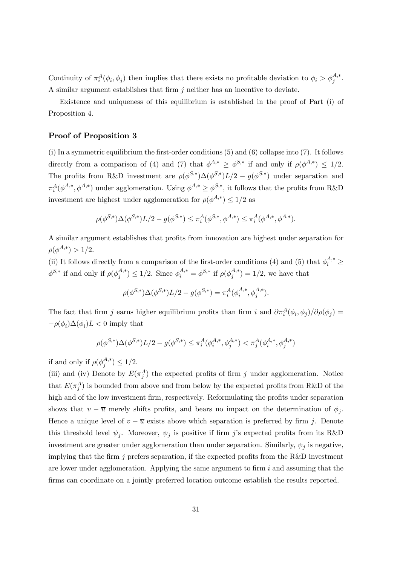Continuity of  $\pi_i^A(\phi_i, \phi_j)$  then implies that there exists no profitable deviation to  $\phi_i > \phi_j^{A,*}$ . A similar argument establishes that firm j neither has an incentive to deviate.

Existence and uniqueness of this equilibrium is established in the proof of Part (i) of Proposition 4.

#### Proof of Proposition 3

(i) In a symmetric equilibrium the first-order conditions (5) and (6) collapse into (7). It follows directly from a comparison of (4) and (7) that  $\phi^{A,*} \geq \phi^{S,*}$  if and only if  $\rho(\phi^{A,*}) \leq 1/2$ . The profits from R&D investment are  $\rho(\phi^{S,*})\Delta(\phi^{S,*})L/2 - g(\phi^{S,*})$  under separation and  $\pi_i^A(\phi^{A,*}, \phi^{A,*})$  under agglomeration. Using  $\phi^{A,*} \geq \phi^{S,*}$ , it follows that the profits from R&D investment are highest under agglomeration for  $\rho(\phi^{A,*}) \leq 1/2$  as

$$
\rho(\phi^{S,*})\Delta(\phi^{S,*})L/2 - g(\phi^{S,*}) \le \pi_i^A(\phi^{S,*}, \phi^{A,*}) \le \pi_i^A(\phi^{A,*}, \phi^{A,*}).
$$

A similar argument establishes that profits from innovation are highest under separation for  $\rho(\phi^{A,*}) > 1/2.$ 

(ii) It follows directly from a comparison of the first-order conditions (4) and (5) that  $\phi_i^{A,*} \geq$  $\phi^{S,*}$  if and only if  $\rho(\phi_j^{A,*}) \leq 1/2$ . Since  $\phi_i^{A,*} = \phi^{S,*}$  if  $\rho(\phi_j^{A,*}) = 1/2$ , we have that

$$
\rho(\phi^{S,*})\Delta(\phi^{S,*})L/2 - g(\phi^{S,*}) = \pi_i^A(\phi_i^{A,*}, \phi_j^{A,*}).
$$

The fact that firm j earns higher equilibrium profits than firm i and  $\partial \pi_i^A(\phi_i, \phi_j)/\partial \rho(\phi_j) =$  $-\rho(\phi_i)\Delta(\phi_i)L<0$  imply that

$$
\rho(\phi^{S,*})\Delta(\phi^{S,*})L/2 - g(\phi^{S,*}) \le \pi_i^A(\phi_i^{A,*}, \phi_j^{A,*}) < \pi_j^A(\phi_i^{A,*}, \phi_j^{A,*})
$$

if and only if  $\rho(\phi_j^{A,*}) \leq 1/2$ .

(iii) and (iv) Denote by  $E(\pi_j^A)$  the expected profits of firm j under agglomeration. Notice that  $E(\pi_j^A)$  is bounded from above and from below by the expected profits from R&D of the high and of the low investment firm, respectively. Reformulating the profits under separation shows that  $v - \overline{u}$  merely shifts profits, and bears no impact on the determination of  $\phi_j$ . Hence a unique level of  $v - \overline{u}$  exists above which separation is preferred by firm j. Denote this threshold level  $\psi_j$ . Moreover,  $\psi_j$  is positive if firm j's expected profits from its R&D investment are greater under agglomeration than under separation. Similarly,  $\psi_i$  is negative, implying that the firm  $j$  prefers separation, if the expected profits from the R&D investment are lower under agglomeration. Applying the same argument to firm  $i$  and assuming that the firms can coordinate on a jointly preferred location outcome establish the results reported.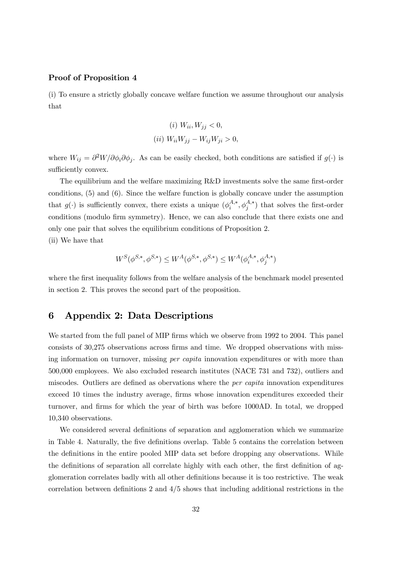#### Proof of Proposition 4

(i) To ensure a strictly globally concave welfare function we assume throughout our analysis that

(*i*) 
$$
W_{ii}, W_{jj} < 0,
$$
  
(*ii*)  $W_{ii}W_{jj} - W_{ij}W_{ji} > 0,$ 

where  $W_{ij} = \partial^2 W / \partial \phi_i \partial \phi_j$ . As can be easily checked, both conditions are satisfied if  $g(\cdot)$  is sufficiently convex.

The equilibrium and the welfare maximizing R&D investments solve the same first-order conditions, (5) and (6). Since the welfare function is globally concave under the assumption that  $g(\cdot)$  is sufficiently convex, there exists a unique  $(\phi_i^{A,*}, \phi_j^{A,*})$  that solves the first-order conditions (modulo firm symmetry). Hence, we can also conclude that there exists one and only one pair that solves the equilibrium conditions of Proposition 2.

(ii) We have that

$$
W^S(\phi^{S,*},\phi^{S,*})\leq W^A(\phi^{S,*},\phi^{S,*})\leq W^A(\phi^{A,*}_i,\phi^{A,*}_j)
$$

where the first inequality follows from the welfare analysis of the benchmark model presented in section 2. This proves the second part of the proposition.

### 6 Appendix 2: Data Descriptions

We started from the full panel of MIP firms which we observe from 1992 to 2004. This panel consists of 30,275 observations across firms and time. We dropped observations with missing information on turnover, missing *per capita* innovation expenditures or with more than 500,000 employees. We also excluded research institutes (NACE 731 and 732), outliers and miscodes. Outliers are defined as obervations where the per capita innovation expenditures exceed 10 times the industry average, firms whose innovation expenditures exceeded their turnover, and firms for which the year of birth was before 1000AD. In total, we dropped 10,340 observations.

We considered several definitions of separation and agglomeration which we summarize in Table 4. Naturally, the five definitions overlap. Table 5 contains the correlation between the definitions in the entire pooled MIP data set before dropping any observations. While the definitions of separation all correlate highly with each other, the first definition of agglomeration correlates badly with all other definitions because it is too restrictive. The weak correlation between definitions 2 and 4/5 shows that including additional restrictions in the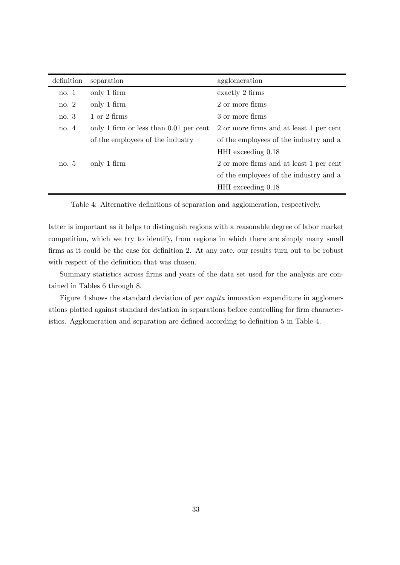| definition | separation                               | agglomeration                           |
|------------|------------------------------------------|-----------------------------------------|
| no.1       | only 1 firm                              | exactly 2 firms                         |
| no. $2$    | only 1 firm                              | 2 or more firms                         |
| no.3       | $1 \text{ or } 2 \text{ firms}$          | 3 or more firms                         |
| no.4       | only 1 firm or less than $0.01$ per cent | 2 or more firms and at least 1 per cent |
|            | of the employees of the industry         | of the employees of the industry and a  |
|            |                                          | HHI exceeding 0.18                      |
| no. 5      | only 1 firm                              | 2 or more firms and at least 1 per cent |
|            |                                          | of the employees of the industry and a  |
|            |                                          | $HHI$ exceeding $0.18$                  |

Table 4: Alternative definitions of separation and agglomeration, respectively.

latter is important as it helps to distinguish regions with a reasonable degree of labor market competition, which we try to identify, from regions in which there are simply many small firms as it could be the case for definition 2. At any rate, our results turn out to be robust with respect of the definition that was chosen.

Summary statistics across firms and years of the data set used for the analysis are contained in Tables 6 through 8.

Figure 4 shows the standard deviation of *per capita* innovation expenditure in agglomerations plotted against standard deviation in separations before controlling for firm characteristics. Agglomeration and separation are defined according to definition 5 in Table 4.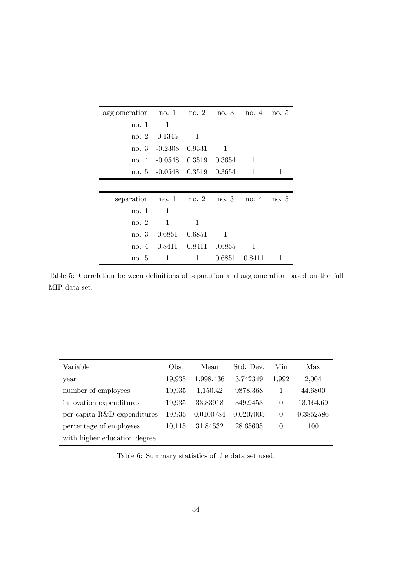| agglomeration no. $1 \text{ no. } 2 \text{ no. } 3 \text{ no. } 4$ |                                   |          |               |                                                                                                                                                                                                                                                                                                                                                                                                                                                                                                                                                                                                                                                        | no.5 |
|--------------------------------------------------------------------|-----------------------------------|----------|---------------|--------------------------------------------------------------------------------------------------------------------------------------------------------------------------------------------------------------------------------------------------------------------------------------------------------------------------------------------------------------------------------------------------------------------------------------------------------------------------------------------------------------------------------------------------------------------------------------------------------------------------------------------------------|------|
| no. 1                                                              | $\mathbf{1}$                      |          |               |                                                                                                                                                                                                                                                                                                                                                                                                                                                                                                                                                                                                                                                        |      |
|                                                                    | no. 2 0.1345                      | $\sim$ 1 |               |                                                                                                                                                                                                                                                                                                                                                                                                                                                                                                                                                                                                                                                        |      |
|                                                                    | no. $3 -0.2308$ 0.9331            |          | $\sim$ 1      |                                                                                                                                                                                                                                                                                                                                                                                                                                                                                                                                                                                                                                                        |      |
|                                                                    | no. $4 -0.0548$ $0.3519$ $0.3654$ |          |               | $\sim$ 1                                                                                                                                                                                                                                                                                                                                                                                                                                                                                                                                                                                                                                               |      |
|                                                                    | no. 5 -0.0548 0.3519 0.3654       |          |               | $\begin{array}{\begin{array}{\small \begin{array}{\small \begin{array}{\small \begin{array}{\small \end{array}}}}\\{\small \end{array}}\\{\small \end{array}}\\{\small \end{array}}\\{\small \end{array}}{\small \end{array}}{\small \begin{array}{\small \begin{array}{\small \end{array}}}\\{\small \end{array}}{\small \begin{array}{\small \end{array}}}\\{\small \end{array}}{\small \begin{array}{\small \end{array}}{\small \begin{array}{\small \end{array}}}{\small \begin{array}{\small \end{array}}}{\small \begin{array}{\small \end{array}}{\small \begin{array}{\small \end{array}}}{\small \begin{array}{\small \end{array}}}{\small \$ | 1    |
|                                                                    |                                   |          |               |                                                                                                                                                                                                                                                                                                                                                                                                                                                                                                                                                                                                                                                        |      |
| separation                                                         | no. 1 no. 2 no. 3                 |          |               | no.4                                                                                                                                                                                                                                                                                                                                                                                                                                                                                                                                                                                                                                                   | no.5 |
| no. 1                                                              | -1                                |          |               |                                                                                                                                                                                                                                                                                                                                                                                                                                                                                                                                                                                                                                                        |      |
| no. 2                                                              | 1                                 | 1        |               |                                                                                                                                                                                                                                                                                                                                                                                                                                                                                                                                                                                                                                                        |      |
|                                                                    | no. 3 0.6851 0.6851               |          | 1             |                                                                                                                                                                                                                                                                                                                                                                                                                                                                                                                                                                                                                                                        |      |
|                                                                    | no. 4 0.8411 0.8411 0.6855        |          |               | $\sim$ 1                                                                                                                                                                                                                                                                                                                                                                                                                                                                                                                                                                                                                                               |      |
| no. 5                                                              | 1                                 | 1        | 0.6851 0.8411 |                                                                                                                                                                                                                                                                                                                                                                                                                                                                                                                                                                                                                                                        | 1    |

Table 5: Correlation between definitions of separation and agglomeration based on the full MIP data set.

| Variable                     | Obs.   | Mean      | Std. Dev. | Min      | Max       |
|------------------------------|--------|-----------|-----------|----------|-----------|
| year                         | 19,935 | 1,998.436 | 3.742349  | 1,992    | 2,004     |
| number of employees          | 19,935 | 1,150.42  | 9878.368  |          | 44,6800   |
| innovation expenditures      | 19,935 | 33.83918  | 349.9453  | $\theta$ | 13,164.69 |
| per capita R&D expenditures  | 19,935 | 0.0100784 | 0.0207005 | $\theta$ | 0.3852586 |
| percentage of employees      | 10,115 | 31.84532  | 28.65605  | $\theta$ | 100       |
| with higher education degree |        |           |           |          |           |

Table 6: Summary statistics of the data set used.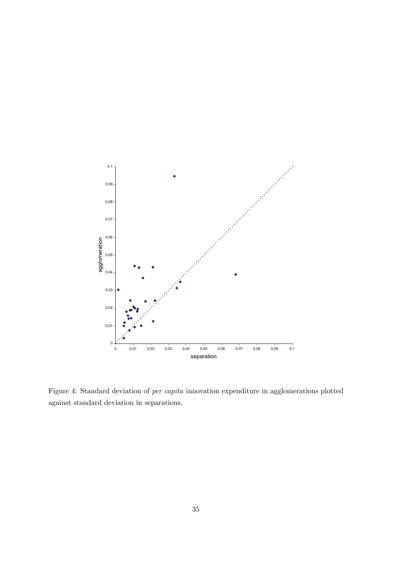

Figure 4: Standard deviation of per capita innovation expenditure in agglomerations plotted against standard deviation in separations.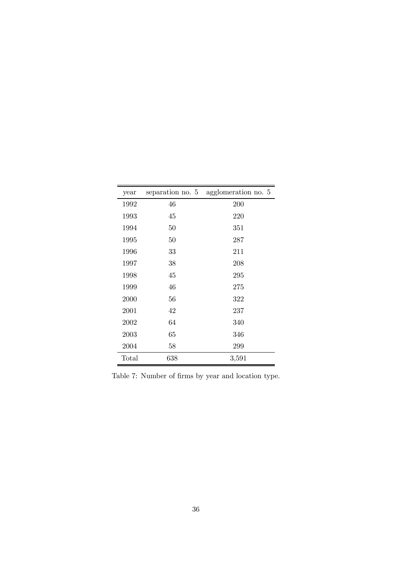| year  | separation no. 5 | agglomeration no. 5 |
|-------|------------------|---------------------|
| 1992  | 46               | 200                 |
| 1993  | 45               | 220                 |
| 1994  | 50               | $351\,$             |
| 1995  | 50               | 287                 |
| 1996  | 33               | 211                 |
| 1997  | 38               | 208                 |
| 1998  | 45               | 295                 |
| 1999  | 46               | 275                 |
| 2000  | 56               | 322                 |
| 2001  | 42               | 237                 |
| 2002  | 64               | 340                 |
| 2003  | 65               | 346                 |
| 2004  | 58               | 299                 |
| Total | 638              | 3,591               |

Table 7: Number of firms by year and location type.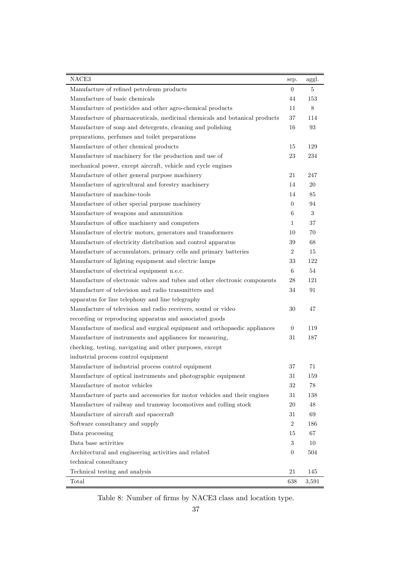| NACE3                                                                      | sep.            | aggl. |
|----------------------------------------------------------------------------|-----------------|-------|
| Manufacture of refined petroleum products                                  | $\theta$        | 5     |
| Manufacture of basic chemicals                                             | 44              | 153   |
| Manufacture of pesticides and other agro-chemical products                 | 11              | 8     |
| Manufacture of pharmaceuticals, medicinal chemicals and botanical products | 37              | 114   |
| Manufacture of soap and detergents, cleaning and polishing                 | 16              | 93    |
| preparations, perfumes and toilet preparations                             |                 |       |
| Manufacture of other chemical products                                     | 15              | 129   |
| Manufacture of machinery for the production and use of                     | 23              | 234   |
| mechanical power, except aircraft, vehicle and cycle engines               |                 |       |
| Manufacture of other general purpose machinery                             | 21              | 247   |
| Manufacture of agricultural and forestry machinery                         | 14              | 20    |
| Manufacture of machine-tools                                               | 14              | 85    |
| Manufacture of other special purpose machinery                             | $\theta$        | 94    |
| Manufacture of weapons and ammunition                                      | 6               | 3     |
| Manufacture of office machinery and computers                              | $\mathbf{1}$    | 37    |
| Manufacture of electric motors, generators and transformers                | 10              | 70    |
| Manufacture of electricity distribution and control apparatus              | 39              | 68    |
| Manufacture of accumulators, primary cells and primary batteries           | $\overline{2}$  | 15    |
| Manufacture of lighting equipment and electric lamps                       | 33              | 122   |
| Manufacture of electrical equipment n.e.c.                                 | $6\phantom{.}6$ | 54    |
| Manufacture of electronic valves and tubes and other electronic components | 28              | 121   |
| Manufacture of television and radio transmitters and                       | 34              | 91    |
| apparatus for line telephony and line telegraphy                           |                 |       |
| Manufacture of television and radio receivers, sound or video              | 30              | 47    |
| recording or reproducing apparatus and associated goods                    |                 |       |
| Manufacture of medical and surgical equipment and orthopaedic appliances   | $\overline{0}$  | 119   |
| Manufacture of instruments and appliances for measuring,                   | 31              | 187   |
| checking, testing, navigating and other purposes, except                   |                 |       |
| industrial process control equipment                                       |                 |       |
| Manufacture of industrial process control equipment                        | 37              | 71    |
| Manufacture of optical instruments and photographic equipment              | $31\,$          | 159   |
| Manufacture of motor vehicles                                              | 32              | 78    |
| Manufacture of parts and accessories for motor vehicles and their engines  | 31              | 138   |
| Manufacture of railway and tramway locomotives and rolling stock           | 20              | 48    |
| Manufacture of aircraft and spacecraft                                     | 31              | 69    |
| Software consultancy and supply                                            | $\sqrt{2}$      | 186   |
| Data processing                                                            | 15              | 67    |
| Data base activities                                                       | $\sqrt{3}$      | 10    |
| Architectural and engineering activities and related                       | $\overline{0}$  | 504   |
| technical consultancy                                                      |                 |       |
| Technical testing and analysis                                             | 21              | 145   |
| Total                                                                      | 638             | 3,591 |

Table 8: Number of firms by NACE3 class and location type.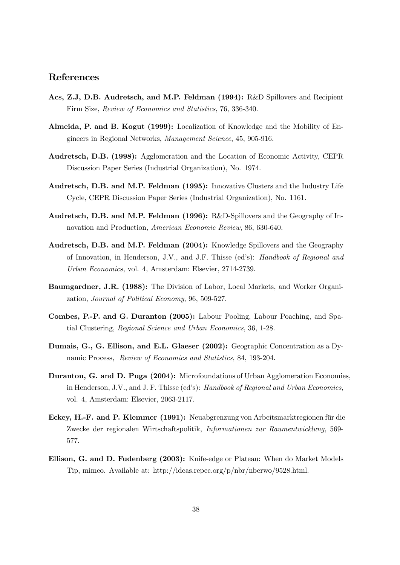### References

- Acs, Z.J, D.B. Audretsch, and M.P. Feldman (1994): R&D Spillovers and Recipient Firm Size, Review of Economics and Statistics, 76, 336-340.
- Almeida, P. and B. Kogut (1999): Localization of Knowledge and the Mobility of Engineers in Regional Networks, Management Science, 45, 905-916.
- Audretsch, D.B. (1998): Agglomeration and the Location of Economic Activity, CEPR Discussion Paper Series (Industrial Organization), No. 1974.
- Audretsch, D.B. and M.P. Feldman (1995): Innovative Clusters and the Industry Life Cycle, CEPR Discussion Paper Series (Industrial Organization), No. 1161.
- Audretsch, D.B. and M.P. Feldman (1996): R&D-Spillovers and the Geography of Innovation and Production, American Economic Review, 86, 630-640.
- Audretsch, D.B. and M.P. Feldman (2004): Knowledge Spillovers and the Geography of Innovation, in Henderson, J.V., and J.F. Thisse (ed's): Handbook of Regional and Urban Economics, vol. 4, Amsterdam: Elsevier, 2714-2739.
- Baumgardner, J.R. (1988): The Division of Labor, Local Markets, and Worker Organization, Journal of Political Economy, 96, 509-527.
- Combes, P.-P. and G. Duranton (2005): Labour Pooling, Labour Poaching, and Spatial Clustering, Regional Science and Urban Economics, 36, 1-28.
- Dumais, G., G. Ellison, and E.L. Glaeser (2002): Geographic Concentration as a Dynamic Process, Review of Economics and Statistics, 84, 193-204.
- Duranton, G. and D. Puga (2004): Microfoundations of Urban Agglomeration Economies, in Henderson, J.V., and J. F. Thisse (ed's): Handbook of Regional and Urban Economics, vol. 4, Amsterdam: Elsevier, 2063-2117.
- Eckey, H.-F. and P. Klemmer (1991): Neuabgrenzung von Arbeitsmarktregionen für die Zwecke der regionalen Wirtschaftspolitik, Informationen zur Raumentwicklung, 569- 577.
- Ellison, G. and D. Fudenberg (2003): Knife-edge or Plateau: When do Market Models Tip, mimeo. Available at: http://ideas.repec.org/p/nbr/nberwo/9528.html.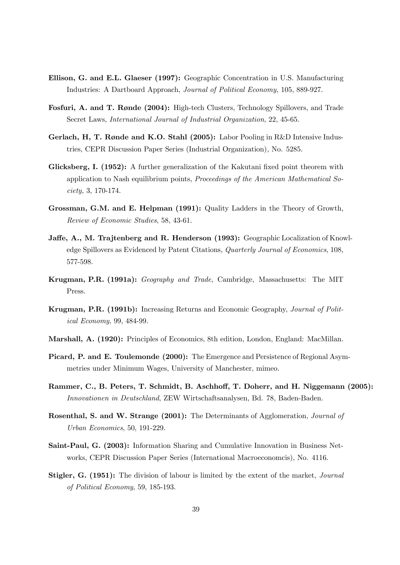- Ellison, G. and E.L. Glaeser (1997): Geographic Concentration in U.S. Manufacturing Industries: A Dartboard Approach, Journal of Political Economy, 105, 889-927.
- Fosfuri, A. and T. Rønde (2004): High-tech Clusters, Technology Spillovers, and Trade Secret Laws, International Journal of Industrial Organization, 22, 45-65.
- Gerlach, H, T. Rønde and K.O. Stahl (2005): Labor Pooling in R&D Intensive Industries, CEPR Discussion Paper Series (Industrial Organization), No. 5285.
- Glicksberg, I. (1952): A further generalization of the Kakutani fixed point theorem with application to Nash equilibrium points, Proceedings of the American Mathematical Society, 3, 170-174.
- Grossman, G.M. and E. Helpman (1991): Quality Ladders in the Theory of Growth, Review of Economic Studies, 58, 43-61.
- Jaffe, A., M. Trajtenberg and R. Henderson (1993): Geographic Localization of Knowledge Spillovers as Evidenced by Patent Citations, Quarterly Journal of Economics, 108, 577-598.
- Krugman, P.R. (1991a): Geography and Trade, Cambridge, Massachusetts: The MIT Press.
- Krugman, P.R. (1991b): Increasing Returns and Economic Geography, Journal of Political Economy, 99, 484-99.
- Marshall, A. (1920): Principles of Economics, 8th edition, London, England: MacMillan.
- Picard, P. and E. Toulemonde (2000): The Emergence and Persistence of Regional Asymmetries under Minimum Wages, University of Manchester, mimeo.
- Rammer, C., B. Peters, T. Schmidt, B. Aschhoff, T. Doherr, and H. Niggemann (2005): Innovationen in Deutschland, ZEW Wirtschaftsanalysen, Bd. 78, Baden-Baden.
- Rosenthal, S. and W. Strange (2001): The Determinants of Agglomeration, Journal of Urban Economics, 50, 191-229.
- Saint-Paul, G. (2003): Information Sharing and Cumulative Innovation in Business Networks, CEPR Discussion Paper Series (International Macroeconomcis), No. 4116.
- Stigler, G. (1951): The division of labour is limited by the extent of the market, *Journal* of Political Economy, 59, 185-193.